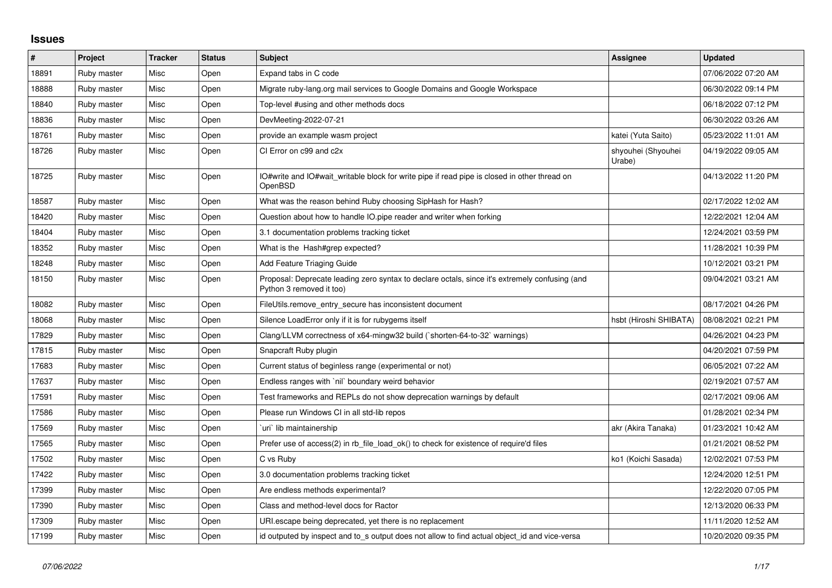## **Issues**

| #     | Project     | <b>Tracker</b> | <b>Status</b> | <b>Subject</b>                                                                                                             | Assignee                     | <b>Updated</b>      |
|-------|-------------|----------------|---------------|----------------------------------------------------------------------------------------------------------------------------|------------------------------|---------------------|
| 18891 | Ruby master | Misc           | Open          | Expand tabs in C code                                                                                                      |                              | 07/06/2022 07:20 AM |
| 18888 | Ruby master | Misc           | Open          | Migrate ruby-lang.org mail services to Google Domains and Google Workspace                                                 |                              | 06/30/2022 09:14 PM |
| 18840 | Ruby master | Misc           | Open          | Top-level #using and other methods docs                                                                                    |                              | 06/18/2022 07:12 PM |
| 18836 | Ruby master | Misc           | Open          | DevMeeting-2022-07-21                                                                                                      |                              | 06/30/2022 03:26 AM |
| 18761 | Ruby master | Misc           | Open          | provide an example wasm project                                                                                            | katei (Yuta Saito)           | 05/23/2022 11:01 AM |
| 18726 | Ruby master | Misc           | Open          | CI Error on c99 and c2x                                                                                                    | shyouhei (Shyouhei<br>Urabe) | 04/19/2022 09:05 AM |
| 18725 | Ruby master | Misc           | Open          | IO#write and IO#wait_writable block for write pipe if read pipe is closed in other thread on<br>OpenBSD                    |                              | 04/13/2022 11:20 PM |
| 18587 | Ruby master | <b>Misc</b>    | Open          | What was the reason behind Ruby choosing SipHash for Hash?                                                                 |                              | 02/17/2022 12:02 AM |
| 18420 | Ruby master | Misc           | Open          | Question about how to handle IO.pipe reader and writer when forking                                                        |                              | 12/22/2021 12:04 AM |
| 18404 | Ruby master | Misc           | Open          | 3.1 documentation problems tracking ticket                                                                                 |                              | 12/24/2021 03:59 PM |
| 18352 | Ruby master | Misc           | Open          | What is the Hash#grep expected?                                                                                            |                              | 11/28/2021 10:39 PM |
| 18248 | Ruby master | Misc           | Open          | Add Feature Triaging Guide                                                                                                 |                              | 10/12/2021 03:21 PM |
| 18150 | Ruby master | Misc           | Open          | Proposal: Deprecate leading zero syntax to declare octals, since it's extremely confusing (and<br>Python 3 removed it too) |                              | 09/04/2021 03:21 AM |
| 18082 | Ruby master | Misc           | Open          | FileUtils.remove_entry_secure has inconsistent document                                                                    |                              | 08/17/2021 04:26 PM |
| 18068 | Ruby master | Misc           | Open          | Silence LoadError only if it is for rubygems itself                                                                        | hsbt (Hiroshi SHIBATA)       | 08/08/2021 02:21 PM |
| 17829 | Ruby master | Misc           | Open          | Clang/LLVM correctness of x64-mingw32 build ('shorten-64-to-32' warnings)                                                  |                              | 04/26/2021 04:23 PM |
| 17815 | Ruby master | Misc           | Open          | Snapcraft Ruby plugin                                                                                                      |                              | 04/20/2021 07:59 PM |
| 17683 | Ruby master | Misc           | Open          | Current status of beginless range (experimental or not)                                                                    |                              | 06/05/2021 07:22 AM |
| 17637 | Ruby master | Misc           | Open          | Endless ranges with 'nil' boundary weird behavior                                                                          |                              | 02/19/2021 07:57 AM |
| 17591 | Ruby master | Misc           | Open          | Test frameworks and REPLs do not show deprecation warnings by default                                                      |                              | 02/17/2021 09:06 AM |
| 17586 | Ruby master | Misc           | Open          | Please run Windows CI in all std-lib repos                                                                                 |                              | 01/28/2021 02:34 PM |
| 17569 | Ruby master | Misc           | Open          | uri lib maintainership                                                                                                     | akr (Akira Tanaka)           | 01/23/2021 10:42 AM |
| 17565 | Ruby master | Misc           | Open          | Prefer use of access(2) in rb file load ok() to check for existence of require'd files                                     |                              | 01/21/2021 08:52 PM |
| 17502 | Ruby master | Misc           | Open          | C vs Ruby                                                                                                                  | ko1 (Koichi Sasada)          | 12/02/2021 07:53 PM |
| 17422 | Ruby master | Misc           | Open          | 3.0 documentation problems tracking ticket                                                                                 |                              | 12/24/2020 12:51 PM |
| 17399 | Ruby master | Misc           | Open          | Are endless methods experimental?                                                                                          |                              | 12/22/2020 07:05 PM |
| 17390 | Ruby master | Misc           | Open          | Class and method-level docs for Ractor                                                                                     |                              | 12/13/2020 06:33 PM |
| 17309 | Ruby master | Misc           | Open          | URI escape being deprecated, yet there is no replacement                                                                   |                              | 11/11/2020 12:52 AM |
| 17199 | Ruby master | Misc           | Open          | id outputed by inspect and to s output does not allow to find actual object id and vice-versa                              |                              | 10/20/2020 09:35 PM |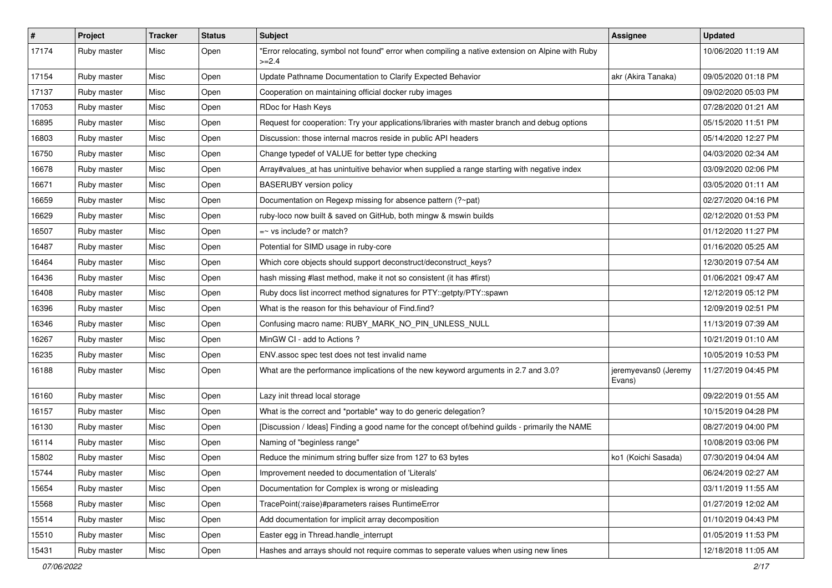| #     | Project     | <b>Tracker</b> | <b>Status</b> | <b>Subject</b>                                                                                              | Assignee                       | <b>Updated</b>      |
|-------|-------------|----------------|---------------|-------------------------------------------------------------------------------------------------------------|--------------------------------|---------------------|
| 17174 | Ruby master | Misc           | Open          | "Error relocating, symbol not found" error when compiling a native extension on Alpine with Ruby<br>$>=2.4$ |                                | 10/06/2020 11:19 AM |
| 17154 | Ruby master | Misc           | Open          | Update Pathname Documentation to Clarify Expected Behavior                                                  | akr (Akira Tanaka)             | 09/05/2020 01:18 PM |
| 17137 | Ruby master | Misc           | Open          | Cooperation on maintaining official docker ruby images                                                      |                                | 09/02/2020 05:03 PM |
| 17053 | Ruby master | Misc           | Open          | RDoc for Hash Keys                                                                                          |                                | 07/28/2020 01:21 AM |
| 16895 | Ruby master | Misc           | Open          | Request for cooperation: Try your applications/libraries with master branch and debug options               |                                | 05/15/2020 11:51 PM |
| 16803 | Ruby master | Misc           | Open          | Discussion: those internal macros reside in public API headers                                              |                                | 05/14/2020 12:27 PM |
| 16750 | Ruby master | Misc           | Open          | Change typedef of VALUE for better type checking                                                            |                                | 04/03/2020 02:34 AM |
| 16678 | Ruby master | Misc           | Open          | Array#values_at has unintuitive behavior when supplied a range starting with negative index                 |                                | 03/09/2020 02:06 PM |
| 16671 | Ruby master | Misc           | Open          | <b>BASERUBY</b> version policy                                                                              |                                | 03/05/2020 01:11 AM |
| 16659 | Ruby master | Misc           | Open          | Documentation on Regexp missing for absence pattern (?~pat)                                                 |                                | 02/27/2020 04:16 PM |
| 16629 | Ruby master | Misc           | Open          | ruby-loco now built & saved on GitHub, both mingw & mswin builds                                            |                                | 02/12/2020 01:53 PM |
| 16507 | Ruby master | Misc           | Open          | $=$ vs include? or match?                                                                                   |                                | 01/12/2020 11:27 PM |
| 16487 | Ruby master | Misc           | Open          | Potential for SIMD usage in ruby-core                                                                       |                                | 01/16/2020 05:25 AM |
| 16464 | Ruby master | Misc           | Open          | Which core objects should support deconstruct/deconstruct_keys?                                             |                                | 12/30/2019 07:54 AM |
| 16436 | Ruby master | Misc           | Open          | hash missing #last method, make it not so consistent (it has #first)                                        |                                | 01/06/2021 09:47 AM |
| 16408 | Ruby master | Misc           | Open          | Ruby docs list incorrect method signatures for PTY::getpty/PTY::spawn                                       |                                | 12/12/2019 05:12 PM |
| 16396 | Ruby master | Misc           | Open          | What is the reason for this behaviour of Find.find?                                                         |                                | 12/09/2019 02:51 PM |
| 16346 | Ruby master | Misc           | Open          | Confusing macro name: RUBY_MARK_NO_PIN_UNLESS_NULL                                                          |                                | 11/13/2019 07:39 AM |
| 16267 | Ruby master | Misc           | Open          | MinGW CI - add to Actions?                                                                                  |                                | 10/21/2019 01:10 AM |
| 16235 | Ruby master | Misc           | Open          | ENV assoc spec test does not test invalid name                                                              |                                | 10/05/2019 10:53 PM |
| 16188 | Ruby master | Misc           | Open          | What are the performance implications of the new keyword arguments in 2.7 and 3.0?                          | jeremyevans0 (Jeremy<br>Evans) | 11/27/2019 04:45 PM |
| 16160 | Ruby master | Misc           | Open          | Lazy init thread local storage                                                                              |                                | 09/22/2019 01:55 AM |
| 16157 | Ruby master | Misc           | Open          | What is the correct and *portable* way to do generic delegation?                                            |                                | 10/15/2019 04:28 PM |
| 16130 | Ruby master | Misc           | Open          | [Discussion / Ideas] Finding a good name for the concept of/behind guilds - primarily the NAME              |                                | 08/27/2019 04:00 PM |
| 16114 | Ruby master | Misc           | Open          | Naming of "beginless range"                                                                                 |                                | 10/08/2019 03:06 PM |
| 15802 | Ruby master | Misc           | Open          | Reduce the minimum string buffer size from 127 to 63 bytes                                                  | ko1 (Koichi Sasada)            | 07/30/2019 04:04 AM |
| 15744 | Ruby master | Misc           | Open          | Improvement needed to documentation of 'Literals'                                                           |                                | 06/24/2019 02:27 AM |
| 15654 | Ruby master | Misc           | Open          | Documentation for Complex is wrong or misleading                                                            |                                | 03/11/2019 11:55 AM |
| 15568 | Ruby master | Misc           | Open          | TracePoint(:raise)#parameters raises RuntimeError                                                           |                                | 01/27/2019 12:02 AM |
| 15514 | Ruby master | Misc           | Open          | Add documentation for implicit array decomposition                                                          |                                | 01/10/2019 04:43 PM |
| 15510 | Ruby master | Misc           | Open          | Easter egg in Thread.handle_interrupt                                                                       |                                | 01/05/2019 11:53 PM |
| 15431 | Ruby master | Misc           | Open          | Hashes and arrays should not require commas to seperate values when using new lines                         |                                | 12/18/2018 11:05 AM |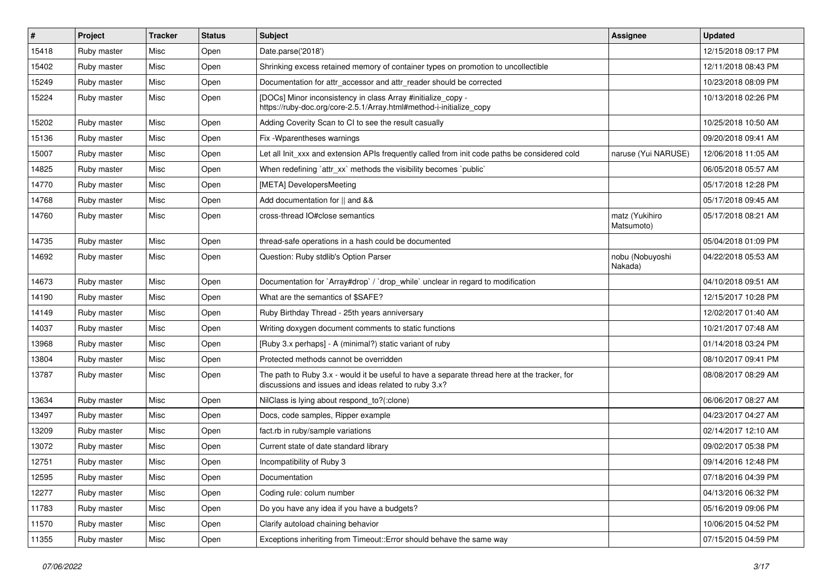| $\#$  | Project     | <b>Tracker</b> | <b>Status</b> | Subject                                                                                                                                               | Assignee                     | <b>Updated</b>      |
|-------|-------------|----------------|---------------|-------------------------------------------------------------------------------------------------------------------------------------------------------|------------------------------|---------------------|
| 15418 | Ruby master | Misc           | Open          | Date.parse('2018')                                                                                                                                    |                              | 12/15/2018 09:17 PM |
| 15402 | Ruby master | Misc           | Open          | Shrinking excess retained memory of container types on promotion to uncollectible                                                                     |                              | 12/11/2018 08:43 PM |
| 15249 | Ruby master | Misc           | Open          | Documentation for attr_accessor and attr_reader should be corrected                                                                                   |                              | 10/23/2018 08:09 PM |
| 15224 | Ruby master | Misc           | Open          | [DOCs] Minor inconsistency in class Array #initialize_copy -<br>https://ruby-doc.org/core-2.5.1/Array.html#method-i-initialize_copy                   |                              | 10/13/2018 02:26 PM |
| 15202 | Ruby master | Misc           | Open          | Adding Coverity Scan to CI to see the result casually                                                                                                 |                              | 10/25/2018 10:50 AM |
| 15136 | Ruby master | Misc           | Open          | Fix - Wparentheses warnings                                                                                                                           |                              | 09/20/2018 09:41 AM |
| 15007 | Ruby master | Misc           | Open          | Let all Init_xxx and extension APIs frequently called from init code paths be considered cold                                                         | naruse (Yui NARUSE)          | 12/06/2018 11:05 AM |
| 14825 | Ruby master | Misc           | Open          | When redefining `attr_xx` methods the visibility becomes `public`                                                                                     |                              | 06/05/2018 05:57 AM |
| 14770 | Ruby master | Misc           | Open          | [META] DevelopersMeeting                                                                                                                              |                              | 05/17/2018 12:28 PM |
| 14768 | Ruby master | Misc           | Open          | Add documentation for    and &&                                                                                                                       |                              | 05/17/2018 09:45 AM |
| 14760 | Ruby master | Misc           | Open          | cross-thread IO#close semantics                                                                                                                       | matz (Yukihiro<br>Matsumoto) | 05/17/2018 08:21 AM |
| 14735 | Ruby master | Misc           | Open          | thread-safe operations in a hash could be documented                                                                                                  |                              | 05/04/2018 01:09 PM |
| 14692 | Ruby master | Misc           | Open          | Question: Ruby stdlib's Option Parser                                                                                                                 | nobu (Nobuyoshi<br>Nakada)   | 04/22/2018 05:53 AM |
| 14673 | Ruby master | Misc           | Open          | Documentation for `Array#drop` / `drop_while` unclear in regard to modification                                                                       |                              | 04/10/2018 09:51 AM |
| 14190 | Ruby master | Misc           | Open          | What are the semantics of \$SAFE?                                                                                                                     |                              | 12/15/2017 10:28 PM |
| 14149 | Ruby master | Misc           | Open          | Ruby Birthday Thread - 25th years anniversary                                                                                                         |                              | 12/02/2017 01:40 AM |
| 14037 | Ruby master | Misc           | Open          | Writing doxygen document comments to static functions                                                                                                 |                              | 10/21/2017 07:48 AM |
| 13968 | Ruby master | Misc           | Open          | [Ruby 3.x perhaps] - A (minimal?) static variant of ruby                                                                                              |                              | 01/14/2018 03:24 PM |
| 13804 | Ruby master | Misc           | Open          | Protected methods cannot be overridden                                                                                                                |                              | 08/10/2017 09:41 PM |
| 13787 | Ruby master | Misc           | Open          | The path to Ruby 3.x - would it be useful to have a separate thread here at the tracker, for<br>discussions and issues and ideas related to ruby 3.x? |                              | 08/08/2017 08:29 AM |
| 13634 | Ruby master | Misc           | Open          | NilClass is lying about respond_to?(:clone)                                                                                                           |                              | 06/06/2017 08:27 AM |
| 13497 | Ruby master | Misc           | Open          | Docs, code samples, Ripper example                                                                                                                    |                              | 04/23/2017 04:27 AM |
| 13209 | Ruby master | Misc           | Open          | fact.rb in ruby/sample variations                                                                                                                     |                              | 02/14/2017 12:10 AM |
| 13072 | Ruby master | Misc           | Open          | Current state of date standard library                                                                                                                |                              | 09/02/2017 05:38 PM |
| 12751 | Ruby master | Misc           | Open          | Incompatibility of Ruby 3                                                                                                                             |                              | 09/14/2016 12:48 PM |
| 12595 | Ruby master | Misc           | Open          | Documentation                                                                                                                                         |                              | 07/18/2016 04:39 PM |
| 12277 | Ruby master | Misc           | Open          | Coding rule: colum number                                                                                                                             |                              | 04/13/2016 06:32 PM |
| 11783 | Ruby master | Misc           | Open          | Do you have any idea if you have a budgets?                                                                                                           |                              | 05/16/2019 09:06 PM |
| 11570 | Ruby master | Misc           | Open          | Clarify autoload chaining behavior                                                                                                                    |                              | 10/06/2015 04:52 PM |
| 11355 | Ruby master | Misc           | Open          | Exceptions inheriting from Timeout::Error should behave the same way                                                                                  |                              | 07/15/2015 04:59 PM |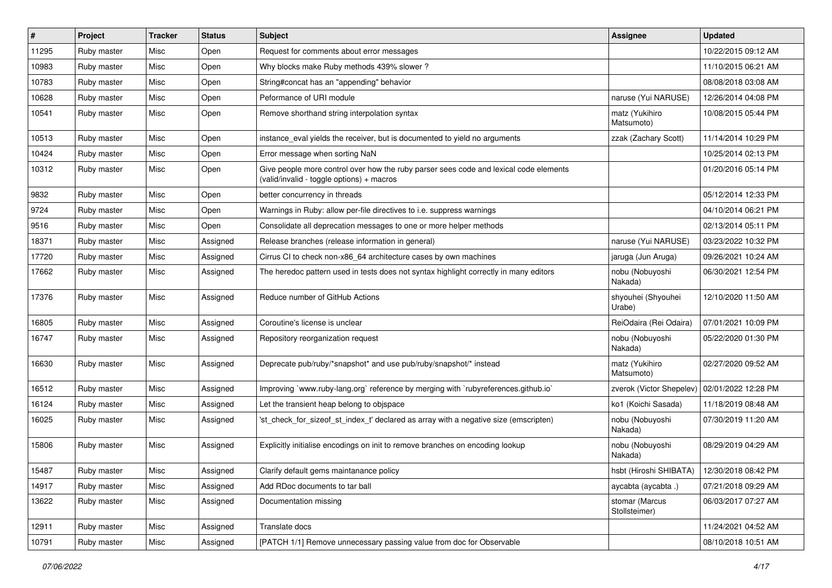| $\vert$ # | Project     | <b>Tracker</b> | <b>Status</b> | <b>Subject</b>                                                                                                                     | <b>Assignee</b>                              | <b>Updated</b>      |
|-----------|-------------|----------------|---------------|------------------------------------------------------------------------------------------------------------------------------------|----------------------------------------------|---------------------|
| 11295     | Ruby master | Misc           | Open          | Request for comments about error messages                                                                                          |                                              | 10/22/2015 09:12 AM |
| 10983     | Ruby master | Misc           | Open          | Why blocks make Ruby methods 439% slower?                                                                                          |                                              | 11/10/2015 06:21 AM |
| 10783     | Ruby master | Misc           | Open          | String#concat has an "appending" behavior                                                                                          |                                              | 08/08/2018 03:08 AM |
| 10628     | Ruby master | Misc           | Open          | Peformance of URI module                                                                                                           | naruse (Yui NARUSE)                          | 12/26/2014 04:08 PM |
| 10541     | Ruby master | Misc           | Open          | Remove shorthand string interpolation syntax                                                                                       | matz (Yukihiro<br>Matsumoto)                 | 10/08/2015 05:44 PM |
| 10513     | Ruby master | Misc           | Open          | instance_eval yields the receiver, but is documented to yield no arguments                                                         | zzak (Zachary Scott)                         | 11/14/2014 10:29 PM |
| 10424     | Ruby master | Misc           | Open          | Error message when sorting NaN                                                                                                     |                                              | 10/25/2014 02:13 PM |
| 10312     | Ruby master | Misc           | Open          | Give people more control over how the ruby parser sees code and lexical code elements<br>(valid/invalid - toggle options) + macros |                                              | 01/20/2016 05:14 PM |
| 9832      | Ruby master | Misc           | Open          | better concurrency in threads                                                                                                      |                                              | 05/12/2014 12:33 PM |
| 9724      | Ruby master | Misc           | Open          | Warnings in Ruby: allow per-file directives to i.e. suppress warnings                                                              |                                              | 04/10/2014 06:21 PM |
| 9516      | Ruby master | Misc           | Open          | Consolidate all deprecation messages to one or more helper methods                                                                 |                                              | 02/13/2014 05:11 PM |
| 18371     | Ruby master | Misc           | Assigned      | Release branches (release information in general)                                                                                  | naruse (Yui NARUSE)                          | 03/23/2022 10:32 PM |
| 17720     | Ruby master | Misc           | Assigned      | Cirrus CI to check non-x86_64 architecture cases by own machines                                                                   | jaruga (Jun Aruga)                           | 09/26/2021 10:24 AM |
| 17662     | Ruby master | Misc           | Assigned      | The heredoc pattern used in tests does not syntax highlight correctly in many editors                                              | nobu (Nobuyoshi<br>Nakada)                   | 06/30/2021 12:54 PM |
| 17376     | Ruby master | Misc           | Assigned      | Reduce number of GitHub Actions                                                                                                    | shyouhei (Shyouhei<br>Urabe)                 | 12/10/2020 11:50 AM |
| 16805     | Ruby master | Misc           | Assigned      | Coroutine's license is unclear                                                                                                     | ReiOdaira (Rei Odaira)                       | 07/01/2021 10:09 PM |
| 16747     | Ruby master | Misc           | Assigned      | Repository reorganization request                                                                                                  | nobu (Nobuyoshi<br>Nakada)                   | 05/22/2020 01:30 PM |
| 16630     | Ruby master | Misc           | Assigned      | Deprecate pub/ruby/*snapshot* and use pub/ruby/snapshot/* instead                                                                  | matz (Yukihiro<br>Matsumoto)                 | 02/27/2020 09:52 AM |
| 16512     | Ruby master | Misc           | Assigned      | Improving `www.ruby-lang.org` reference by merging with `rubyreferences.github.io`                                                 | zverok (Victor Shepelev)                     | 02/01/2022 12:28 PM |
| 16124     | Ruby master | Misc           | Assigned      | Let the transient heap belong to objspace                                                                                          | ko1 (Koichi Sasada)                          | 11/18/2019 08:48 AM |
| 16025     | Ruby master | Misc           | Assigned      | 'st check for sizeof st index t' declared as array with a negative size (emscripten)                                               | nobu (Nobuyoshi<br>Nakada)                   | 07/30/2019 11:20 AM |
| 15806     | Ruby master | Misc           | Assigned      | Explicitly initialise encodings on init to remove branches on encoding lookup                                                      | nobu (Nobuyoshi<br>Nakada)                   | 08/29/2019 04:29 AM |
| 15487     | Ruby master | Misc           | Assigned      | Clarify default gems maintanance policy                                                                                            | hsbt (Hiroshi SHIBATA)   12/30/2018 08:42 PM |                     |
| 14917     | Ruby master | Misc           | Assigned      | Add RDoc documents to tar ball                                                                                                     | aycabta (aycabta.)                           | 07/21/2018 09:29 AM |
| 13622     | Ruby master | Misc           | Assigned      | Documentation missing                                                                                                              | stomar (Marcus<br>Stollsteimer)              | 06/03/2017 07:27 AM |
| 12911     | Ruby master | Misc           | Assigned      | Translate docs                                                                                                                     |                                              | 11/24/2021 04:52 AM |
| 10791     | Ruby master | Misc           | Assigned      | [PATCH 1/1] Remove unnecessary passing value from doc for Observable                                                               |                                              | 08/10/2018 10:51 AM |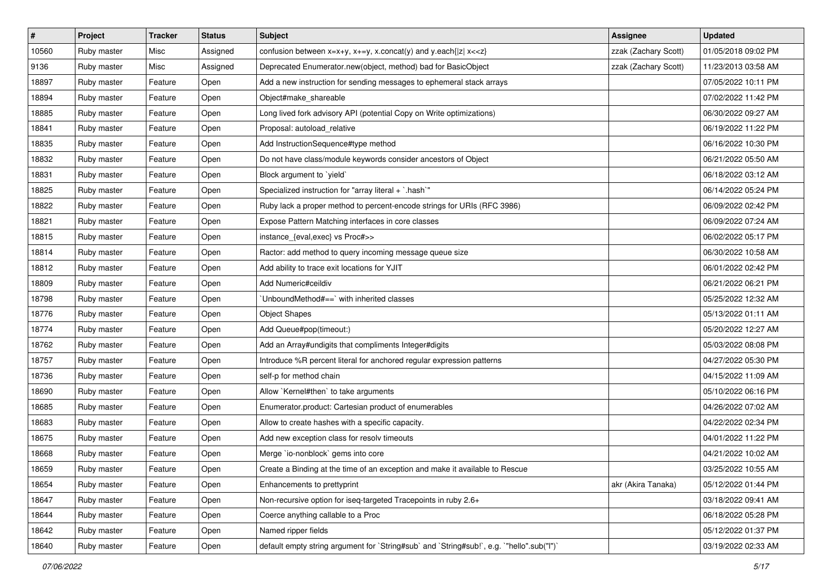| $\vert$ # | Project     | <b>Tracker</b> | <b>Status</b> | <b>Subject</b>                                                                            | Assignee             | <b>Updated</b>      |
|-----------|-------------|----------------|---------------|-------------------------------------------------------------------------------------------|----------------------|---------------------|
| 10560     | Ruby master | Misc           | Assigned      | confusion between $x=x+y$ , $x+=y$ , x.concat(y) and y.each{ z  $x<}$                     | zzak (Zachary Scott) | 01/05/2018 09:02 PM |
| 9136      | Ruby master | Misc           | Assigned      | Deprecated Enumerator.new(object, method) bad for BasicObject                             | zzak (Zachary Scott) | 11/23/2013 03:58 AM |
| 18897     | Ruby master | Feature        | Open          | Add a new instruction for sending messages to ephemeral stack arrays                      |                      | 07/05/2022 10:11 PM |
| 18894     | Ruby master | Feature        | Open          | Object#make_shareable                                                                     |                      | 07/02/2022 11:42 PM |
| 18885     | Ruby master | Feature        | Open          | Long lived fork advisory API (potential Copy on Write optimizations)                      |                      | 06/30/2022 09:27 AM |
| 18841     | Ruby master | Feature        | Open          | Proposal: autoload_relative                                                               |                      | 06/19/2022 11:22 PM |
| 18835     | Ruby master | Feature        | Open          | Add InstructionSequence#type method                                                       |                      | 06/16/2022 10:30 PM |
| 18832     | Ruby master | Feature        | Open          | Do not have class/module keywords consider ancestors of Object                            |                      | 06/21/2022 05:50 AM |
| 18831     | Ruby master | Feature        | Open          | Block argument to `yield`                                                                 |                      | 06/18/2022 03:12 AM |
| 18825     | Ruby master | Feature        | Open          | Specialized instruction for "array literal + `.hash`"                                     |                      | 06/14/2022 05:24 PM |
| 18822     | Ruby master | Feature        | Open          | Ruby lack a proper method to percent-encode strings for URIs (RFC 3986)                   |                      | 06/09/2022 02:42 PM |
| 18821     | Ruby master | Feature        | Open          | Expose Pattern Matching interfaces in core classes                                        |                      | 06/09/2022 07:24 AM |
| 18815     | Ruby master | Feature        | Open          | instance_{eval,exec} vs Proc#>>                                                           |                      | 06/02/2022 05:17 PM |
| 18814     | Ruby master | Feature        | Open          | Ractor: add method to query incoming message queue size                                   |                      | 06/30/2022 10:58 AM |
| 18812     | Ruby master | Feature        | Open          | Add ability to trace exit locations for YJIT                                              |                      | 06/01/2022 02:42 PM |
| 18809     | Ruby master | Feature        | Open          | Add Numeric#ceildiv                                                                       |                      | 06/21/2022 06:21 PM |
| 18798     | Ruby master | Feature        | Open          | 'UnboundMethod#==' with inherited classes                                                 |                      | 05/25/2022 12:32 AM |
| 18776     | Ruby master | Feature        | Open          | <b>Object Shapes</b>                                                                      |                      | 05/13/2022 01:11 AM |
| 18774     | Ruby master | Feature        | Open          | Add Queue#pop(timeout:)                                                                   |                      | 05/20/2022 12:27 AM |
| 18762     | Ruby master | Feature        | Open          | Add an Array#undigits that compliments Integer#digits                                     |                      | 05/03/2022 08:08 PM |
| 18757     | Ruby master | Feature        | Open          | Introduce %R percent literal for anchored regular expression patterns                     |                      | 04/27/2022 05:30 PM |
| 18736     | Ruby master | Feature        | Open          | self-p for method chain                                                                   |                      | 04/15/2022 11:09 AM |
| 18690     | Ruby master | Feature        | Open          | Allow `Kernel#then` to take arguments                                                     |                      | 05/10/2022 06:16 PM |
| 18685     | Ruby master | Feature        | Open          | Enumerator.product: Cartesian product of enumerables                                      |                      | 04/26/2022 07:02 AM |
| 18683     | Ruby master | Feature        | Open          | Allow to create hashes with a specific capacity.                                          |                      | 04/22/2022 02:34 PM |
| 18675     | Ruby master | Feature        | Open          | Add new exception class for resolv timeouts                                               |                      | 04/01/2022 11:22 PM |
| 18668     | Ruby master | Feature        | Open          | Merge `io-nonblock` gems into core                                                        |                      | 04/21/2022 10:02 AM |
| 18659     | Ruby master | Feature        | Open          | Create a Binding at the time of an exception and make it available to Rescue              |                      | 03/25/2022 10:55 AM |
| 18654     | Ruby master | Feature        | Open          | Enhancements to prettyprint                                                               | akr (Akira Tanaka)   | 05/12/2022 01:44 PM |
| 18647     | Ruby master | Feature        | Open          | Non-recursive option for iseq-targeted Tracepoints in ruby 2.6+                           |                      | 03/18/2022 09:41 AM |
| 18644     | Ruby master | Feature        | Open          | Coerce anything callable to a Proc                                                        |                      | 06/18/2022 05:28 PM |
| 18642     | Ruby master | Feature        | Open          | Named ripper fields                                                                       |                      | 05/12/2022 01:37 PM |
| 18640     | Ruby master | Feature        | Open          | default empty string argument for `String#sub` and `String#sub!`, e.g. `"hello".sub("I")` |                      | 03/19/2022 02:33 AM |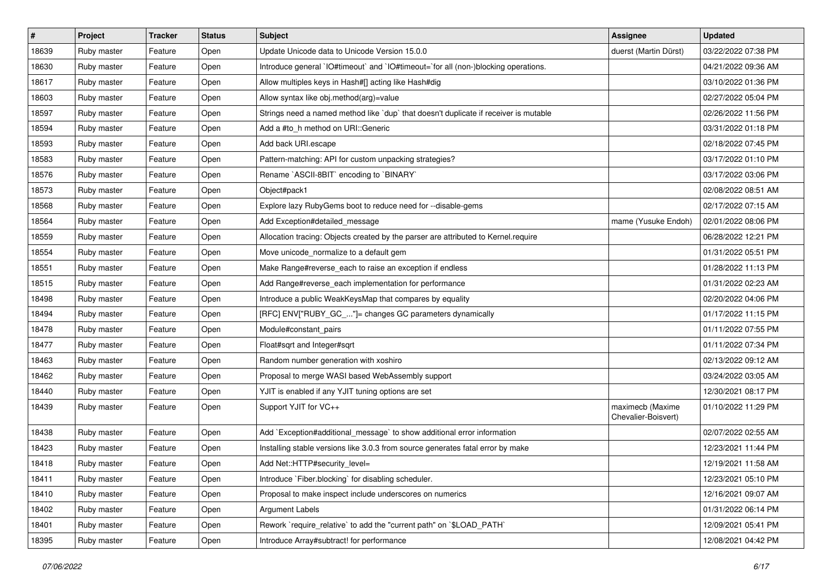| $\sharp$ | Project     | <b>Tracker</b> | <b>Status</b> | <b>Subject</b>                                                                       | Assignee                                | <b>Updated</b>      |
|----------|-------------|----------------|---------------|--------------------------------------------------------------------------------------|-----------------------------------------|---------------------|
| 18639    | Ruby master | Feature        | Open          | Update Unicode data to Unicode Version 15.0.0                                        | duerst (Martin Dürst)                   | 03/22/2022 07:38 PM |
| 18630    | Ruby master | Feature        | Open          | Introduce general `IO#timeout` and `IO#timeout=`for all (non-)blocking operations.   |                                         | 04/21/2022 09:36 AM |
| 18617    | Ruby master | Feature        | Open          | Allow multiples keys in Hash#[] acting like Hash#dig                                 |                                         | 03/10/2022 01:36 PM |
| 18603    | Ruby master | Feature        | Open          | Allow syntax like obj.method(arg)=value                                              |                                         | 02/27/2022 05:04 PM |
| 18597    | Ruby master | Feature        | Open          | Strings need a named method like 'dup' that doesn't duplicate if receiver is mutable |                                         | 02/26/2022 11:56 PM |
| 18594    | Ruby master | Feature        | Open          | Add a #to h method on URI:: Generic                                                  |                                         | 03/31/2022 01:18 PM |
| 18593    | Ruby master | Feature        | Open          | Add back URI.escape                                                                  |                                         | 02/18/2022 07:45 PM |
| 18583    | Ruby master | Feature        | Open          | Pattern-matching: API for custom unpacking strategies?                               |                                         | 03/17/2022 01:10 PM |
| 18576    | Ruby master | Feature        | Open          | Rename `ASCII-8BIT` encoding to `BINARY`                                             |                                         | 03/17/2022 03:06 PM |
| 18573    | Ruby master | Feature        | Open          | Object#pack1                                                                         |                                         | 02/08/2022 08:51 AM |
| 18568    | Ruby master | Feature        | Open          | Explore lazy RubyGems boot to reduce need for --disable-gems                         |                                         | 02/17/2022 07:15 AM |
| 18564    | Ruby master | Feature        | Open          | Add Exception#detailed_message                                                       | mame (Yusuke Endoh)                     | 02/01/2022 08:06 PM |
| 18559    | Ruby master | Feature        | Open          | Allocation tracing: Objects created by the parser are attributed to Kernel.require   |                                         | 06/28/2022 12:21 PM |
| 18554    | Ruby master | Feature        | Open          | Move unicode_normalize to a default gem                                              |                                         | 01/31/2022 05:51 PM |
| 18551    | Ruby master | Feature        | Open          | Make Range#reverse_each to raise an exception if endless                             |                                         | 01/28/2022 11:13 PM |
| 18515    | Ruby master | Feature        | Open          | Add Range#reverse_each implementation for performance                                |                                         | 01/31/2022 02:23 AM |
| 18498    | Ruby master | Feature        | Open          | Introduce a public WeakKeysMap that compares by equality                             |                                         | 02/20/2022 04:06 PM |
| 18494    | Ruby master | Feature        | Open          | [RFC] ENV["RUBY_GC_"]= changes GC parameters dynamically                             |                                         | 01/17/2022 11:15 PM |
| 18478    | Ruby master | Feature        | Open          | Module#constant pairs                                                                |                                         | 01/11/2022 07:55 PM |
| 18477    | Ruby master | Feature        | Open          | Float#sqrt and Integer#sqrt                                                          |                                         | 01/11/2022 07:34 PM |
| 18463    | Ruby master | Feature        | Open          | Random number generation with xoshiro                                                |                                         | 02/13/2022 09:12 AM |
| 18462    | Ruby master | Feature        | Open          | Proposal to merge WASI based WebAssembly support                                     |                                         | 03/24/2022 03:05 AM |
| 18440    | Ruby master | Feature        | Open          | YJIT is enabled if any YJIT tuning options are set                                   |                                         | 12/30/2021 08:17 PM |
| 18439    | Ruby master | Feature        | Open          | Support YJIT for VC++                                                                | maximecb (Maxime<br>Chevalier-Boisvert) | 01/10/2022 11:29 PM |
| 18438    | Ruby master | Feature        | Open          | Add `Exception#additional_message` to show additional error information              |                                         | 02/07/2022 02:55 AM |
| 18423    | Ruby master | Feature        | Open          | Installing stable versions like 3.0.3 from source generates fatal error by make      |                                         | 12/23/2021 11:44 PM |
| 18418    | Ruby master | Feature        | Open          | Add Net::HTTP#security_level=                                                        |                                         | 12/19/2021 11:58 AM |
| 18411    | Ruby master | Feature        | Open          | Introduce `Fiber.blocking` for disabling scheduler.                                  |                                         | 12/23/2021 05:10 PM |
| 18410    | Ruby master | Feature        | Open          | Proposal to make inspect include underscores on numerics                             |                                         | 12/16/2021 09:07 AM |
| 18402    | Ruby master | Feature        | Open          | <b>Argument Labels</b>                                                               |                                         | 01/31/2022 06:14 PM |
| 18401    | Ruby master | Feature        | Open          | Rework `require_relative` to add the "current path" on `\$LOAD_PATH`                 |                                         | 12/09/2021 05:41 PM |
| 18395    | Ruby master | Feature        | Open          | Introduce Array#subtract! for performance                                            |                                         | 12/08/2021 04:42 PM |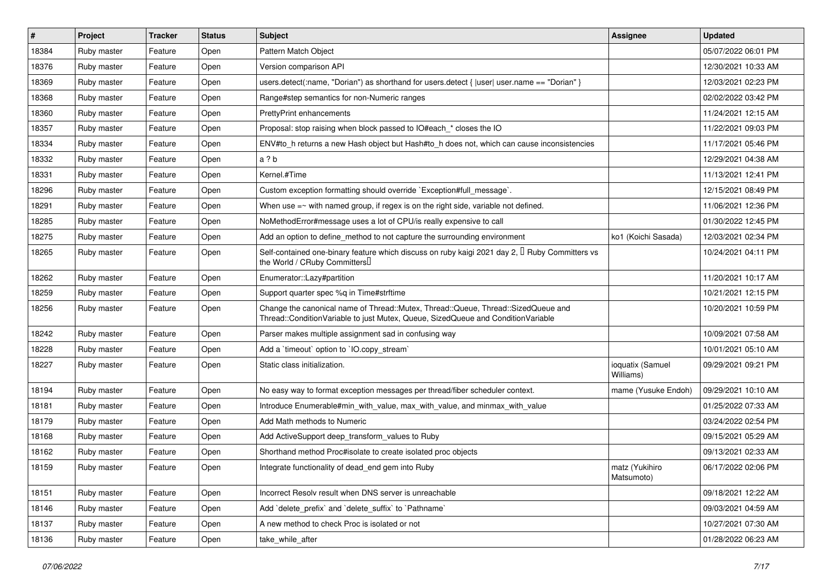| #     | <b>Project</b> | <b>Tracker</b> | <b>Status</b> | <b>Subject</b>                                                                                                                                                        | Assignee                      | <b>Updated</b>      |
|-------|----------------|----------------|---------------|-----------------------------------------------------------------------------------------------------------------------------------------------------------------------|-------------------------------|---------------------|
| 18384 | Ruby master    | Feature        | Open          | Pattern Match Object                                                                                                                                                  |                               | 05/07/2022 06:01 PM |
| 18376 | Ruby master    | Feature        | Open          | Version comparison API                                                                                                                                                |                               | 12/30/2021 10:33 AM |
| 18369 | Ruby master    | Feature        | Open          | users.detect(:name, "Dorian") as shorthand for users.detect {  user  user.name == "Dorian" }                                                                          |                               | 12/03/2021 02:23 PM |
| 18368 | Ruby master    | Feature        | Open          | Range#step semantics for non-Numeric ranges                                                                                                                           |                               | 02/02/2022 03:42 PM |
| 18360 | Ruby master    | Feature        | Open          | <b>PrettyPrint enhancements</b>                                                                                                                                       |                               | 11/24/2021 12:15 AM |
| 18357 | Ruby master    | Feature        | Open          | Proposal: stop raising when block passed to IO#each * closes the IO                                                                                                   |                               | 11/22/2021 09:03 PM |
| 18334 | Ruby master    | Feature        | Open          | ENV#to_h returns a new Hash object but Hash#to_h does not, which can cause inconsistencies                                                                            |                               | 11/17/2021 05:46 PM |
| 18332 | Ruby master    | Feature        | Open          | a ? b                                                                                                                                                                 |                               | 12/29/2021 04:38 AM |
| 18331 | Ruby master    | Feature        | Open          | Kernel.#Time                                                                                                                                                          |                               | 11/13/2021 12:41 PM |
| 18296 | Ruby master    | Feature        | Open          | Custom exception formatting should override `Exception#full_message`.                                                                                                 |                               | 12/15/2021 08:49 PM |
| 18291 | Ruby master    | Feature        | Open          | When use $=\sim$ with named group, if regex is on the right side, variable not defined.                                                                               |                               | 11/06/2021 12:36 PM |
| 18285 | Ruby master    | Feature        | Open          | NoMethodError#message uses a lot of CPU/is really expensive to call                                                                                                   |                               | 01/30/2022 12:45 PM |
| 18275 | Ruby master    | Feature        | Open          | Add an option to define method to not capture the surrounding environment                                                                                             | ko1 (Koichi Sasada)           | 12/03/2021 02:34 PM |
| 18265 | Ruby master    | Feature        | Open          | Self-contained one-binary feature which discuss on ruby kaigi 2021 day 2, <sup>[]</sup> Ruby Committers vs<br>the World / CRuby Committers                            |                               | 10/24/2021 04:11 PM |
| 18262 | Ruby master    | Feature        | Open          | Enumerator::Lazy#partition                                                                                                                                            |                               | 11/20/2021 10:17 AM |
| 18259 | Ruby master    | Feature        | Open          | Support quarter spec %q in Time#strftime                                                                                                                              |                               | 10/21/2021 12:15 PM |
| 18256 | Ruby master    | Feature        | Open          | Change the canonical name of Thread::Mutex, Thread::Queue, Thread::SizedQueue and<br>Thread::ConditionVariable to just Mutex, Queue, SizedQueue and ConditionVariable |                               | 10/20/2021 10:59 PM |
| 18242 | Ruby master    | Feature        | Open          | Parser makes multiple assignment sad in confusing way                                                                                                                 |                               | 10/09/2021 07:58 AM |
| 18228 | Ruby master    | Feature        | Open          | Add a 'timeout' option to 'IO.copy_stream'                                                                                                                            |                               | 10/01/2021 05:10 AM |
| 18227 | Ruby master    | Feature        | Open          | Static class initialization.                                                                                                                                          | ioquatix (Samuel<br>Williams) | 09/29/2021 09:21 PM |
| 18194 | Ruby master    | Feature        | Open          | No easy way to format exception messages per thread/fiber scheduler context.                                                                                          | mame (Yusuke Endoh)           | 09/29/2021 10:10 AM |
| 18181 | Ruby master    | Feature        | Open          | Introduce Enumerable#min_with_value, max_with_value, and minmax_with_value                                                                                            |                               | 01/25/2022 07:33 AM |
| 18179 | Ruby master    | Feature        | Open          | Add Math methods to Numeric                                                                                                                                           |                               | 03/24/2022 02:54 PM |
| 18168 | Ruby master    | Feature        | Open          | Add ActiveSupport deep transform values to Ruby                                                                                                                       |                               | 09/15/2021 05:29 AM |
| 18162 | Ruby master    | Feature        | Open          | Shorthand method Proc#isolate to create isolated proc objects                                                                                                         |                               | 09/13/2021 02:33 AM |
| 18159 | Ruby master    | Feature        | Open          | Integrate functionality of dead_end gem into Ruby                                                                                                                     | matz (Yukihiro<br>Matsumoto)  | 06/17/2022 02:06 PM |
| 18151 | Ruby master    | Feature        | Open          | Incorrect Resolv result when DNS server is unreachable                                                                                                                |                               | 09/18/2021 12:22 AM |
| 18146 | Ruby master    | Feature        | Open          | Add 'delete_prefix' and 'delete_suffix' to 'Pathname'                                                                                                                 |                               | 09/03/2021 04:59 AM |
| 18137 | Ruby master    | Feature        | Open          | A new method to check Proc is isolated or not                                                                                                                         |                               | 10/27/2021 07:30 AM |
| 18136 | Ruby master    | Feature        | Open          | take_while_after                                                                                                                                                      |                               | 01/28/2022 06:23 AM |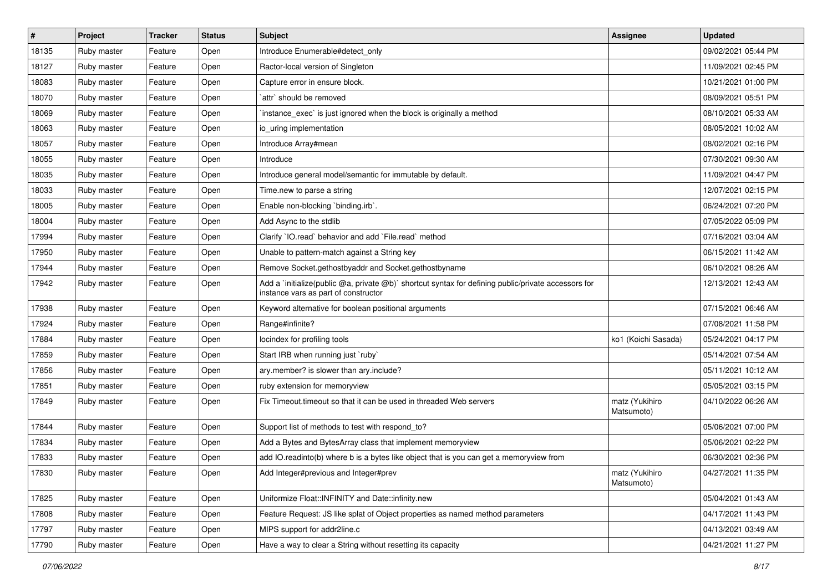| #     | Project     | <b>Tracker</b> | <b>Status</b> | <b>Subject</b>                                                                                                                              | Assignee                     | <b>Updated</b>      |
|-------|-------------|----------------|---------------|---------------------------------------------------------------------------------------------------------------------------------------------|------------------------------|---------------------|
| 18135 | Ruby master | Feature        | Open          | Introduce Enumerable#detect_only                                                                                                            |                              | 09/02/2021 05:44 PM |
| 18127 | Ruby master | Feature        | Open          | Ractor-local version of Singleton                                                                                                           |                              | 11/09/2021 02:45 PM |
| 18083 | Ruby master | Feature        | Open          | Capture error in ensure block.                                                                                                              |                              | 10/21/2021 01:00 PM |
| 18070 | Ruby master | Feature        | Open          | `attr` should be removed                                                                                                                    |                              | 08/09/2021 05:51 PM |
| 18069 | Ruby master | Feature        | Open          | instance_exec` is just ignored when the block is originally a method                                                                        |                              | 08/10/2021 05:33 AM |
| 18063 | Ruby master | Feature        | Open          | io uring implementation                                                                                                                     |                              | 08/05/2021 10:02 AM |
| 18057 | Ruby master | Feature        | Open          | Introduce Array#mean                                                                                                                        |                              | 08/02/2021 02:16 PM |
| 18055 | Ruby master | Feature        | Open          | Introduce                                                                                                                                   |                              | 07/30/2021 09:30 AM |
| 18035 | Ruby master | Feature        | Open          | Introduce general model/semantic for immutable by default.                                                                                  |                              | 11/09/2021 04:47 PM |
| 18033 | Ruby master | Feature        | Open          | Time.new to parse a string                                                                                                                  |                              | 12/07/2021 02:15 PM |
| 18005 | Ruby master | Feature        | Open          | Enable non-blocking `binding.irb`.                                                                                                          |                              | 06/24/2021 07:20 PM |
| 18004 | Ruby master | Feature        | Open          | Add Async to the stdlib                                                                                                                     |                              | 07/05/2022 05:09 PM |
| 17994 | Ruby master | Feature        | Open          | Clarify `IO.read` behavior and add `File.read` method                                                                                       |                              | 07/16/2021 03:04 AM |
| 17950 | Ruby master | Feature        | Open          | Unable to pattern-match against a String key                                                                                                |                              | 06/15/2021 11:42 AM |
| 17944 | Ruby master | Feature        | Open          | Remove Socket.gethostbyaddr and Socket.gethostbyname                                                                                        |                              | 06/10/2021 08:26 AM |
| 17942 | Ruby master | Feature        | Open          | Add a `initialize(public @a, private @b)` shortcut syntax for defining public/private accessors for<br>instance vars as part of constructor |                              | 12/13/2021 12:43 AM |
| 17938 | Ruby master | Feature        | Open          | Keyword alternative for boolean positional arguments                                                                                        |                              | 07/15/2021 06:46 AM |
| 17924 | Ruby master | Feature        | Open          | Range#infinite?                                                                                                                             |                              | 07/08/2021 11:58 PM |
| 17884 | Ruby master | Feature        | Open          | locindex for profiling tools                                                                                                                | ko1 (Koichi Sasada)          | 05/24/2021 04:17 PM |
| 17859 | Ruby master | Feature        | Open          | Start IRB when running just `ruby`                                                                                                          |                              | 05/14/2021 07:54 AM |
| 17856 | Ruby master | Feature        | Open          | ary.member? is slower than ary.include?                                                                                                     |                              | 05/11/2021 10:12 AM |
| 17851 | Ruby master | Feature        | Open          | ruby extension for memoryview                                                                                                               |                              | 05/05/2021 03:15 PM |
| 17849 | Ruby master | Feature        | Open          | Fix Timeout timeout so that it can be used in threaded Web servers                                                                          | matz (Yukihiro<br>Matsumoto) | 04/10/2022 06:26 AM |
| 17844 | Ruby master | Feature        | Open          | Support list of methods to test with respond_to?                                                                                            |                              | 05/06/2021 07:00 PM |
| 17834 | Ruby master | Feature        | Open          | Add a Bytes and BytesArray class that implement memoryview                                                                                  |                              | 05/06/2021 02:22 PM |
| 17833 | Ruby master | Feature        | Open          | add IO.readinto(b) where b is a bytes like object that is you can get a memoryview from                                                     |                              | 06/30/2021 02:36 PM |
| 17830 | Ruby master | Feature        | Open          | Add Integer#previous and Integer#prev                                                                                                       | matz (Yukihiro<br>Matsumoto) | 04/27/2021 11:35 PM |
| 17825 | Ruby master | Feature        | Open          | Uniformize Float::INFINITY and Date::infinity.new                                                                                           |                              | 05/04/2021 01:43 AM |
| 17808 | Ruby master | Feature        | Open          | Feature Request: JS like splat of Object properties as named method parameters                                                              |                              | 04/17/2021 11:43 PM |
| 17797 | Ruby master | Feature        | Open          | MIPS support for addr2line.c                                                                                                                |                              | 04/13/2021 03:49 AM |
| 17790 | Ruby master | Feature        | Open          | Have a way to clear a String without resetting its capacity                                                                                 |                              | 04/21/2021 11:27 PM |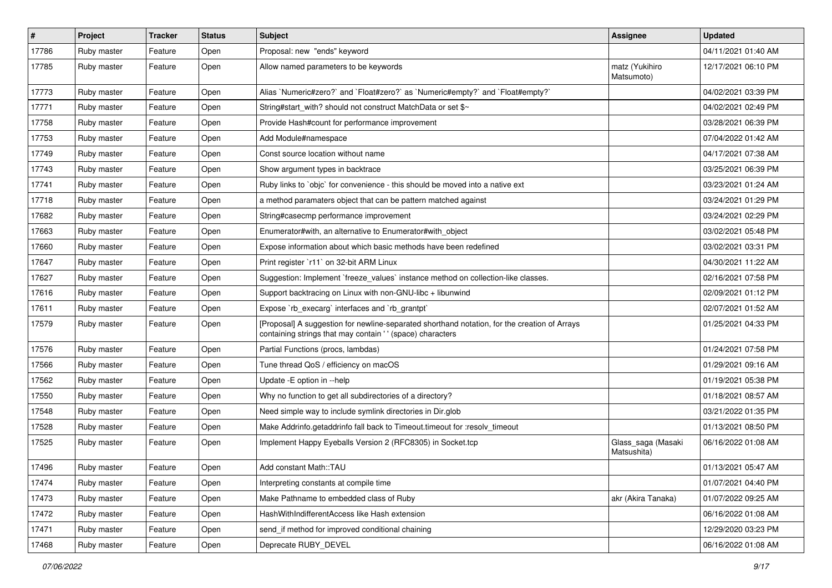| $\vert$ # | Project     | <b>Tracker</b> | <b>Status</b> | Subject                                                                                                                                                    | <b>Assignee</b>                   | <b>Updated</b>      |
|-----------|-------------|----------------|---------------|------------------------------------------------------------------------------------------------------------------------------------------------------------|-----------------------------------|---------------------|
| 17786     | Ruby master | Feature        | Open          | Proposal: new "ends" keyword                                                                                                                               |                                   | 04/11/2021 01:40 AM |
| 17785     | Ruby master | Feature        | Open          | Allow named parameters to be keywords                                                                                                                      | matz (Yukihiro<br>Matsumoto)      | 12/17/2021 06:10 PM |
| 17773     | Ruby master | Feature        | Open          | Alias `Numeric#zero?` and `Float#zero?` as `Numeric#empty?` and `Float#empty?`                                                                             |                                   | 04/02/2021 03:39 PM |
| 17771     | Ruby master | Feature        | Open          | String#start_with? should not construct MatchData or set \$~                                                                                               |                                   | 04/02/2021 02:49 PM |
| 17758     | Ruby master | Feature        | Open          | Provide Hash#count for performance improvement                                                                                                             |                                   | 03/28/2021 06:39 PM |
| 17753     | Ruby master | Feature        | Open          | Add Module#namespace                                                                                                                                       |                                   | 07/04/2022 01:42 AM |
| 17749     | Ruby master | Feature        | Open          | Const source location without name                                                                                                                         |                                   | 04/17/2021 07:38 AM |
| 17743     | Ruby master | Feature        | Open          | Show argument types in backtrace                                                                                                                           |                                   | 03/25/2021 06:39 PM |
| 17741     | Ruby master | Feature        | Open          | Ruby links to `objc` for convenience - this should be moved into a native ext                                                                              |                                   | 03/23/2021 01:24 AM |
| 17718     | Ruby master | Feature        | Open          | a method paramaters object that can be pattern matched against                                                                                             |                                   | 03/24/2021 01:29 PM |
| 17682     | Ruby master | Feature        | Open          | String#casecmp performance improvement                                                                                                                     |                                   | 03/24/2021 02:29 PM |
| 17663     | Ruby master | Feature        | Open          | Enumerator#with, an alternative to Enumerator#with object                                                                                                  |                                   | 03/02/2021 05:48 PM |
| 17660     | Ruby master | Feature        | Open          | Expose information about which basic methods have been redefined                                                                                           |                                   | 03/02/2021 03:31 PM |
| 17647     | Ruby master | Feature        | Open          | Print register `r11` on 32-bit ARM Linux                                                                                                                   |                                   | 04/30/2021 11:22 AM |
| 17627     | Ruby master | Feature        | Open          | Suggestion: Implement `freeze_values` instance method on collection-like classes.                                                                          |                                   | 02/16/2021 07:58 PM |
| 17616     | Ruby master | Feature        | Open          | Support backtracing on Linux with non-GNU-libc + libunwind                                                                                                 |                                   | 02/09/2021 01:12 PM |
| 17611     | Ruby master | Feature        | Open          | Expose `rb_execarg` interfaces and `rb_grantpt`                                                                                                            |                                   | 02/07/2021 01:52 AM |
| 17579     | Ruby master | Feature        | Open          | [Proposal] A suggestion for newline-separated shorthand notation, for the creation of Arrays<br>containing strings that may contain ' ' (space) characters |                                   | 01/25/2021 04:33 PM |
| 17576     | Ruby master | Feature        | Open          | Partial Functions (procs, lambdas)                                                                                                                         |                                   | 01/24/2021 07:58 PM |
| 17566     | Ruby master | Feature        | Open          | Tune thread QoS / efficiency on macOS                                                                                                                      |                                   | 01/29/2021 09:16 AM |
| 17562     | Ruby master | Feature        | Open          | Update - E option in --help                                                                                                                                |                                   | 01/19/2021 05:38 PM |
| 17550     | Ruby master | Feature        | Open          | Why no function to get all subdirectories of a directory?                                                                                                  |                                   | 01/18/2021 08:57 AM |
| 17548     | Ruby master | Feature        | Open          | Need simple way to include symlink directories in Dir.glob                                                                                                 |                                   | 03/21/2022 01:35 PM |
| 17528     | Ruby master | Feature        | Open          | Make Addrinfo.getaddrinfo fall back to Timeout.timeout for :resolv_timeout                                                                                 |                                   | 01/13/2021 08:50 PM |
| 17525     | Ruby master | Feature        | Open          | Implement Happy Eyeballs Version 2 (RFC8305) in Socket.tcp                                                                                                 | Glass_saga (Masaki<br>Matsushita) | 06/16/2022 01:08 AM |
| 17496     | Ruby master | Feature        | Open          | Add constant Math::TAU                                                                                                                                     |                                   | 01/13/2021 05:47 AM |
| 17474     | Ruby master | Feature        | Open          | Interpreting constants at compile time                                                                                                                     |                                   | 01/07/2021 04:40 PM |
| 17473     | Ruby master | Feature        | Open          | Make Pathname to embedded class of Ruby                                                                                                                    | akr (Akira Tanaka)                | 01/07/2022 09:25 AM |
| 17472     | Ruby master | Feature        | Open          | HashWithIndifferentAccess like Hash extension                                                                                                              |                                   | 06/16/2022 01:08 AM |
| 17471     | Ruby master | Feature        | Open          | send_if method for improved conditional chaining                                                                                                           |                                   | 12/29/2020 03:23 PM |
| 17468     | Ruby master | Feature        | Open          | Deprecate RUBY DEVEL                                                                                                                                       |                                   | 06/16/2022 01:08 AM |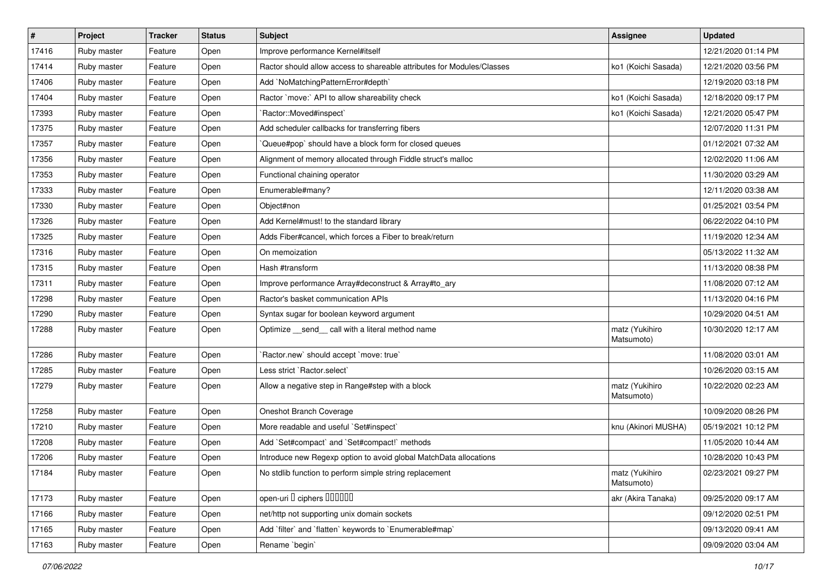| #     | Project     | <b>Tracker</b> | <b>Status</b> | <b>Subject</b>                                                         | <b>Assignee</b>              | <b>Updated</b>      |
|-------|-------------|----------------|---------------|------------------------------------------------------------------------|------------------------------|---------------------|
| 17416 | Ruby master | Feature        | Open          | Improve performance Kernel#itself                                      |                              | 12/21/2020 01:14 PM |
| 17414 | Ruby master | Feature        | Open          | Ractor should allow access to shareable attributes for Modules/Classes | ko1 (Koichi Sasada)          | 12/21/2020 03:56 PM |
| 17406 | Ruby master | Feature        | Open          | Add `NoMatchingPatternError#depth`                                     |                              | 12/19/2020 03:18 PM |
| 17404 | Ruby master | Feature        | Open          | Ractor `move:` API to allow shareability check                         | ko1 (Koichi Sasada)          | 12/18/2020 09:17 PM |
| 17393 | Ruby master | Feature        | Open          | `Ractor::Moved#inspect`                                                | ko1 (Koichi Sasada)          | 12/21/2020 05:47 PM |
| 17375 | Ruby master | Feature        | Open          | Add scheduler callbacks for transferring fibers                        |                              | 12/07/2020 11:31 PM |
| 17357 | Ruby master | Feature        | Open          | 'Queue#pop' should have a block form for closed queues                 |                              | 01/12/2021 07:32 AM |
| 17356 | Ruby master | Feature        | Open          | Alignment of memory allocated through Fiddle struct's malloc           |                              | 12/02/2020 11:06 AM |
| 17353 | Ruby master | Feature        | Open          | Functional chaining operator                                           |                              | 11/30/2020 03:29 AM |
| 17333 | Ruby master | Feature        | Open          | Enumerable#many?                                                       |                              | 12/11/2020 03:38 AM |
| 17330 | Ruby master | Feature        | Open          | Object#non                                                             |                              | 01/25/2021 03:54 PM |
| 17326 | Ruby master | Feature        | Open          | Add Kernel#must! to the standard library                               |                              | 06/22/2022 04:10 PM |
| 17325 | Ruby master | Feature        | Open          | Adds Fiber#cancel, which forces a Fiber to break/return                |                              | 11/19/2020 12:34 AM |
| 17316 | Ruby master | Feature        | Open          | On memoization                                                         |                              | 05/13/2022 11:32 AM |
| 17315 | Ruby master | Feature        | Open          | Hash #transform                                                        |                              | 11/13/2020 08:38 PM |
| 17311 | Ruby master | Feature        | Open          | Improve performance Array#deconstruct & Array#to_ary                   |                              | 11/08/2020 07:12 AM |
| 17298 | Ruby master | Feature        | Open          | Ractor's basket communication APIs                                     |                              | 11/13/2020 04:16 PM |
| 17290 | Ruby master | Feature        | Open          | Syntax sugar for boolean keyword argument                              |                              | 10/29/2020 04:51 AM |
| 17288 | Ruby master | Feature        | Open          | Optimize _send_ call with a literal method name                        | matz (Yukihiro<br>Matsumoto) | 10/30/2020 12:17 AM |
| 17286 | Ruby master | Feature        | Open          | 'Ractor.new' should accept 'move: true'                                |                              | 11/08/2020 03:01 AM |
| 17285 | Ruby master | Feature        | Open          | Less strict `Ractor.select`                                            |                              | 10/26/2020 03:15 AM |
| 17279 | Ruby master | Feature        | Open          | Allow a negative step in Range#step with a block                       | matz (Yukihiro<br>Matsumoto) | 10/22/2020 02:23 AM |
| 17258 | Ruby master | Feature        | Open          | Oneshot Branch Coverage                                                |                              | 10/09/2020 08:26 PM |
| 17210 | Ruby master | Feature        | Open          | More readable and useful `Set#inspect`                                 | knu (Akinori MUSHA)          | 05/19/2021 10:12 PM |
| 17208 | Ruby master | Feature        | Open          | Add `Set#compact` and `Set#compact!` methods                           |                              | 11/05/2020 10:44 AM |
| 17206 | Ruby master | Feature        | Open          | Introduce new Regexp option to avoid global MatchData allocations      |                              | 10/28/2020 10:43 PM |
| 17184 | Ruby master | Feature        | Open          | No stdlib function to perform simple string replacement                | matz (Yukihiro<br>Matsumoto) | 02/23/2021 09:27 PM |
| 17173 | Ruby master | Feature        | Open          | open-uri I ciphers IIIIIII                                             | akr (Akira Tanaka)           | 09/25/2020 09:17 AM |
| 17166 | Ruby master | Feature        | Open          | net/http not supporting unix domain sockets                            |                              | 09/12/2020 02:51 PM |
| 17165 | Ruby master | Feature        | Open          | Add 'filter' and 'flatten' keywords to 'Enumerable#map'                |                              | 09/13/2020 09:41 AM |
| 17163 | Ruby master | Feature        | Open          | Rename `begin`                                                         |                              | 09/09/2020 03:04 AM |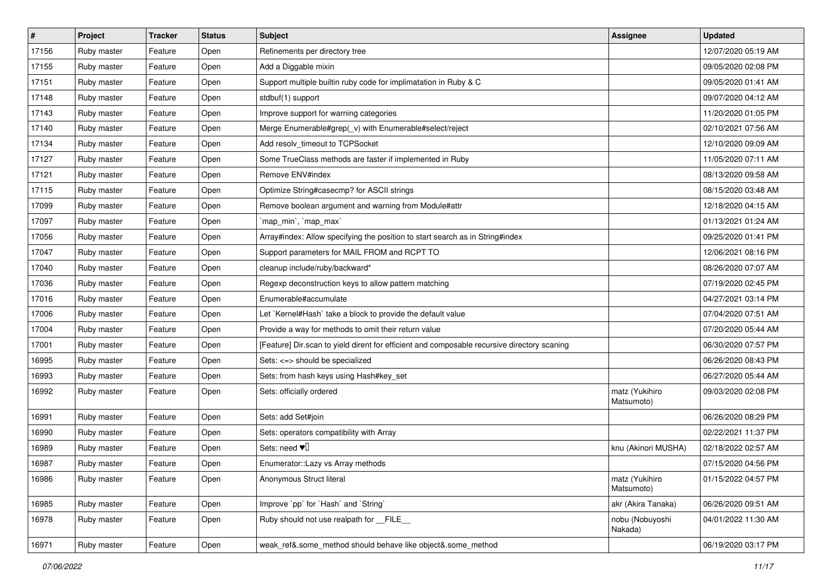| $\sharp$ | Project     | <b>Tracker</b> | <b>Status</b> | Subject                                                                                     | Assignee                     | <b>Updated</b>      |
|----------|-------------|----------------|---------------|---------------------------------------------------------------------------------------------|------------------------------|---------------------|
| 17156    | Ruby master | Feature        | Open          | Refinements per directory tree                                                              |                              | 12/07/2020 05:19 AM |
| 17155    | Ruby master | Feature        | Open          | Add a Diggable mixin                                                                        |                              | 09/05/2020 02:08 PM |
| 17151    | Ruby master | Feature        | Open          | Support multiple builtin ruby code for implimatation in Ruby & C                            |                              | 09/05/2020 01:41 AM |
| 17148    | Ruby master | Feature        | Open          | stdbuf(1) support                                                                           |                              | 09/07/2020 04:12 AM |
| 17143    | Ruby master | Feature        | Open          | Improve support for warning categories                                                      |                              | 11/20/2020 01:05 PM |
| 17140    | Ruby master | Feature        | Open          | Merge Enumerable#grep(_v) with Enumerable#select/reject                                     |                              | 02/10/2021 07:56 AM |
| 17134    | Ruby master | Feature        | Open          | Add resolv_timeout to TCPSocket                                                             |                              | 12/10/2020 09:09 AM |
| 17127    | Ruby master | Feature        | Open          | Some TrueClass methods are faster if implemented in Ruby                                    |                              | 11/05/2020 07:11 AM |
| 17121    | Ruby master | Feature        | Open          | Remove ENV#index                                                                            |                              | 08/13/2020 09:58 AM |
| 17115    | Ruby master | Feature        | Open          | Optimize String#casecmp? for ASCII strings                                                  |                              | 08/15/2020 03:48 AM |
| 17099    | Ruby master | Feature        | Open          | Remove boolean argument and warning from Module#attr                                        |                              | 12/18/2020 04:15 AM |
| 17097    | Ruby master | Feature        | Open          | 'map_min', 'map_max'                                                                        |                              | 01/13/2021 01:24 AM |
| 17056    | Ruby master | Feature        | Open          | Array#index: Allow specifying the position to start search as in String#index               |                              | 09/25/2020 01:41 PM |
| 17047    | Ruby master | Feature        | Open          | Support parameters for MAIL FROM and RCPT TO                                                |                              | 12/06/2021 08:16 PM |
| 17040    | Ruby master | Feature        | Open          | cleanup include/ruby/backward*                                                              |                              | 08/26/2020 07:07 AM |
| 17036    | Ruby master | Feature        | Open          | Regexp deconstruction keys to allow pattern matching                                        |                              | 07/19/2020 02:45 PM |
| 17016    | Ruby master | Feature        | Open          | Enumerable#accumulate                                                                       |                              | 04/27/2021 03:14 PM |
| 17006    | Ruby master | Feature        | Open          | Let `Kernel#Hash` take a block to provide the default value                                 |                              | 07/04/2020 07:51 AM |
| 17004    | Ruby master | Feature        | Open          | Provide a way for methods to omit their return value                                        |                              | 07/20/2020 05:44 AM |
| 17001    | Ruby master | Feature        | Open          | [Feature] Dir.scan to yield dirent for efficient and composable recursive directory scaning |                              | 06/30/2020 07:57 PM |
| 16995    | Ruby master | Feature        | Open          | Sets: <=> should be specialized                                                             |                              | 06/26/2020 08:43 PM |
| 16993    | Ruby master | Feature        | Open          | Sets: from hash keys using Hash#key_set                                                     |                              | 06/27/2020 05:44 AM |
| 16992    | Ruby master | Feature        | Open          | Sets: officially ordered                                                                    | matz (Yukihiro<br>Matsumoto) | 09/03/2020 02:08 PM |
| 16991    | Ruby master | Feature        | Open          | Sets: add Set#join                                                                          |                              | 06/26/2020 08:29 PM |
| 16990    | Ruby master | Feature        | Open          | Sets: operators compatibility with Array                                                    |                              | 02/22/2021 11:37 PM |
| 16989    | Ruby master | Feature        | Open          | Sets: need $\Psi$                                                                           | knu (Akinori MUSHA)          | 02/18/2022 02:57 AM |
| 16987    | Ruby master | Feature        | Open          | Enumerator::Lazy vs Array methods                                                           |                              | 07/15/2020 04:56 PM |
| 16986    | Ruby master | Feature        | Open          | Anonymous Struct literal                                                                    | matz (Yukihiro<br>Matsumoto) | 01/15/2022 04:57 PM |
| 16985    | Ruby master | Feature        | Open          | Improve `pp` for `Hash` and `String`                                                        | akr (Akira Tanaka)           | 06/26/2020 09:51 AM |
| 16978    | Ruby master | Feature        | Open          | Ruby should not use realpath for FILE                                                       | nobu (Nobuyoshi<br>Nakada)   | 04/01/2022 11:30 AM |
| 16971    | Ruby master | Feature        | Open          | weak_ref&.some_method should behave like object&.some_method                                |                              | 06/19/2020 03:17 PM |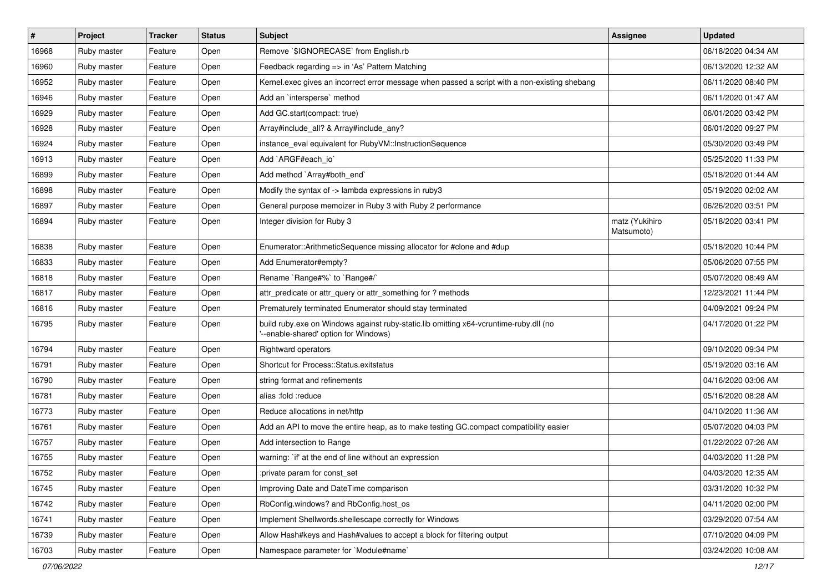| #     | Project     | <b>Tracker</b> | <b>Status</b> | <b>Subject</b>                                                                                                                | <b>Assignee</b>              | <b>Updated</b>      |
|-------|-------------|----------------|---------------|-------------------------------------------------------------------------------------------------------------------------------|------------------------------|---------------------|
| 16968 | Ruby master | Feature        | Open          | Remove `\$IGNORECASE` from English.rb                                                                                         |                              | 06/18/2020 04:34 AM |
| 16960 | Ruby master | Feature        | Open          | Feedback regarding => in 'As' Pattern Matching                                                                                |                              | 06/13/2020 12:32 AM |
| 16952 | Ruby master | Feature        | Open          | Kernel.exec gives an incorrect error message when passed a script with a non-existing shebang                                 |                              | 06/11/2020 08:40 PM |
| 16946 | Ruby master | Feature        | Open          | Add an `intersperse` method                                                                                                   |                              | 06/11/2020 01:47 AM |
| 16929 | Ruby master | Feature        | Open          | Add GC.start(compact: true)                                                                                                   |                              | 06/01/2020 03:42 PM |
| 16928 | Ruby master | Feature        | Open          | Array#include_all? & Array#include_any?                                                                                       |                              | 06/01/2020 09:27 PM |
| 16924 | Ruby master | Feature        | Open          | instance_eval equivalent for RubyVM::InstructionSequence                                                                      |                              | 05/30/2020 03:49 PM |
| 16913 | Ruby master | Feature        | Open          | Add `ARGF#each_io`                                                                                                            |                              | 05/25/2020 11:33 PM |
| 16899 | Ruby master | Feature        | Open          | Add method `Array#both_end`                                                                                                   |                              | 05/18/2020 01:44 AM |
| 16898 | Ruby master | Feature        | Open          | Modify the syntax of -> lambda expressions in ruby3                                                                           |                              | 05/19/2020 02:02 AM |
| 16897 | Ruby master | Feature        | Open          | General purpose memoizer in Ruby 3 with Ruby 2 performance                                                                    |                              | 06/26/2020 03:51 PM |
| 16894 | Ruby master | Feature        | Open          | Integer division for Ruby 3                                                                                                   | matz (Yukihiro<br>Matsumoto) | 05/18/2020 03:41 PM |
| 16838 | Ruby master | Feature        | Open          | Enumerator::ArithmeticSequence missing allocator for #clone and #dup                                                          |                              | 05/18/2020 10:44 PM |
| 16833 | Ruby master | Feature        | Open          | Add Enumerator#empty?                                                                                                         |                              | 05/06/2020 07:55 PM |
| 16818 | Ruby master | Feature        | Open          | Rename `Range#%` to `Range#/`                                                                                                 |                              | 05/07/2020 08:49 AM |
| 16817 | Ruby master | Feature        | Open          | attr_predicate or attr_query or attr_something for ? methods                                                                  |                              | 12/23/2021 11:44 PM |
| 16816 | Ruby master | Feature        | Open          | Prematurely terminated Enumerator should stay terminated                                                                      |                              | 04/09/2021 09:24 PM |
| 16795 | Ruby master | Feature        | Open          | build ruby.exe on Windows against ruby-static.lib omitting x64-vcruntime-ruby.dll (no<br>--enable-shared' option for Windows) |                              | 04/17/2020 01:22 PM |
| 16794 | Ruby master | Feature        | Open          | <b>Rightward operators</b>                                                                                                    |                              | 09/10/2020 09:34 PM |
| 16791 | Ruby master | Feature        | Open          | Shortcut for Process::Status.exitstatus                                                                                       |                              | 05/19/2020 03:16 AM |
| 16790 | Ruby master | Feature        | Open          | string format and refinements                                                                                                 |                              | 04/16/2020 03:06 AM |
| 16781 | Ruby master | Feature        | Open          | alias :fold :reduce                                                                                                           |                              | 05/16/2020 08:28 AM |
| 16773 | Ruby master | Feature        | Open          | Reduce allocations in net/http                                                                                                |                              | 04/10/2020 11:36 AM |
| 16761 | Ruby master | Feature        | Open          | Add an API to move the entire heap, as to make testing GC.compact compatibility easier                                        |                              | 05/07/2020 04:03 PM |
| 16757 | Ruby master | Feature        | Open          | Add intersection to Range                                                                                                     |                              | 01/22/2022 07:26 AM |
| 16755 | Ruby master | Feature        | Open          | warning: `if' at the end of line without an expression                                                                        |                              | 04/03/2020 11:28 PM |
| 16752 | Ruby master | Feature        | Open          | :private param for const_set                                                                                                  |                              | 04/03/2020 12:35 AM |
| 16745 | Ruby master | Feature        | Open          | Improving Date and DateTime comparison                                                                                        |                              | 03/31/2020 10:32 PM |
| 16742 | Ruby master | Feature        | Open          | RbConfig.windows? and RbConfig.host os                                                                                        |                              | 04/11/2020 02:00 PM |
| 16741 | Ruby master | Feature        | Open          | Implement Shellwords.shellescape correctly for Windows                                                                        |                              | 03/29/2020 07:54 AM |
| 16739 | Ruby master | Feature        | Open          | Allow Hash#keys and Hash#values to accept a block for filtering output                                                        |                              | 07/10/2020 04:09 PM |
| 16703 | Ruby master | Feature        | Open          | Namespace parameter for `Module#name`                                                                                         |                              | 03/24/2020 10:08 AM |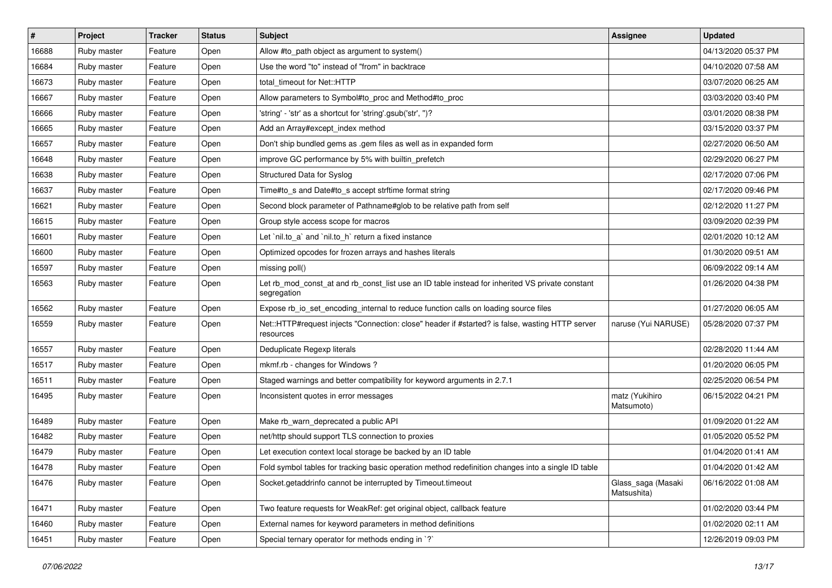| $\sharp$ | <b>Project</b> | <b>Tracker</b> | <b>Status</b> | <b>Subject</b>                                                                                                 | Assignee                          | <b>Updated</b>      |
|----------|----------------|----------------|---------------|----------------------------------------------------------------------------------------------------------------|-----------------------------------|---------------------|
| 16688    | Ruby master    | Feature        | Open          | Allow #to_path object as argument to system()                                                                  |                                   | 04/13/2020 05:37 PM |
| 16684    | Ruby master    | Feature        | Open          | Use the word "to" instead of "from" in backtrace                                                               |                                   | 04/10/2020 07:58 AM |
| 16673    | Ruby master    | Feature        | Open          | total timeout for Net::HTTP                                                                                    |                                   | 03/07/2020 06:25 AM |
| 16667    | Ruby master    | Feature        | Open          | Allow parameters to Symbol#to_proc and Method#to_proc                                                          |                                   | 03/03/2020 03:40 PM |
| 16666    | Ruby master    | Feature        | Open          | 'string' - 'str' as a shortcut for 'string'.gsub('str', ")?                                                    |                                   | 03/01/2020 08:38 PM |
| 16665    | Ruby master    | Feature        | Open          | Add an Array#except index method                                                                               |                                   | 03/15/2020 03:37 PM |
| 16657    | Ruby master    | Feature        | Open          | Don't ship bundled gems as .gem files as well as in expanded form                                              |                                   | 02/27/2020 06:50 AM |
| 16648    | Ruby master    | Feature        | Open          | improve GC performance by 5% with builtin_prefetch                                                             |                                   | 02/29/2020 06:27 PM |
| 16638    | Ruby master    | Feature        | Open          | Structured Data for Syslog                                                                                     |                                   | 02/17/2020 07:06 PM |
| 16637    | Ruby master    | Feature        | Open          | Time#to_s and Date#to_s accept strftime format string                                                          |                                   | 02/17/2020 09:46 PM |
| 16621    | Ruby master    | Feature        | Open          | Second block parameter of Pathname#glob to be relative path from self                                          |                                   | 02/12/2020 11:27 PM |
| 16615    | Ruby master    | Feature        | Open          | Group style access scope for macros                                                                            |                                   | 03/09/2020 02:39 PM |
| 16601    | Ruby master    | Feature        | Open          | Let `nil.to_a` and `nil.to_h` return a fixed instance                                                          |                                   | 02/01/2020 10:12 AM |
| 16600    | Ruby master    | Feature        | Open          | Optimized opcodes for frozen arrays and hashes literals                                                        |                                   | 01/30/2020 09:51 AM |
| 16597    | Ruby master    | Feature        | Open          | missing poll()                                                                                                 |                                   | 06/09/2022 09:14 AM |
| 16563    | Ruby master    | Feature        | Open          | Let rb_mod_const_at and rb_const_list use an ID table instead for inherited VS private constant<br>segregation |                                   | 01/26/2020 04:38 PM |
| 16562    | Ruby master    | Feature        | Open          | Expose rb_io_set_encoding_internal to reduce function calls on loading source files                            |                                   | 01/27/2020 06:05 AM |
| 16559    | Ruby master    | Feature        | Open          | Net::HTTP#request injects "Connection: close" header if #started? is false, wasting HTTP server<br>resources   | naruse (Yui NARUSE)               | 05/28/2020 07:37 PM |
| 16557    | Ruby master    | Feature        | Open          | Deduplicate Regexp literals                                                                                    |                                   | 02/28/2020 11:44 AM |
| 16517    | Ruby master    | Feature        | Open          | mkmf.rb - changes for Windows?                                                                                 |                                   | 01/20/2020 06:05 PM |
| 16511    | Ruby master    | Feature        | Open          | Staged warnings and better compatibility for keyword arguments in 2.7.1                                        |                                   | 02/25/2020 06:54 PM |
| 16495    | Ruby master    | Feature        | Open          | Inconsistent quotes in error messages                                                                          | matz (Yukihiro<br>Matsumoto)      | 06/15/2022 04:21 PM |
| 16489    | Ruby master    | Feature        | Open          | Make rb_warn_deprecated a public API                                                                           |                                   | 01/09/2020 01:22 AM |
| 16482    | Ruby master    | Feature        | Open          | net/http should support TLS connection to proxies                                                              |                                   | 01/05/2020 05:52 PM |
| 16479    | Ruby master    | Feature        | Open          | Let execution context local storage be backed by an ID table                                                   |                                   | 01/04/2020 01:41 AM |
| 16478    | Ruby master    | Feature        | Open          | Fold symbol tables for tracking basic operation method redefinition changes into a single ID table             |                                   | 01/04/2020 01:42 AM |
| 16476    | Ruby master    | Feature        | Open          | Socket.getaddrinfo cannot be interrupted by Timeout.timeout                                                    | Glass_saga (Masaki<br>Matsushita) | 06/16/2022 01:08 AM |
| 16471    | Ruby master    | Feature        | Open          | Two feature requests for WeakRef: get original object, callback feature                                        |                                   | 01/02/2020 03:44 PM |
| 16460    | Ruby master    | Feature        | Open          | External names for keyword parameters in method definitions                                                    |                                   | 01/02/2020 02:11 AM |
| 16451    | Ruby master    | Feature        | Open          | Special ternary operator for methods ending in `?`                                                             |                                   | 12/26/2019 09:03 PM |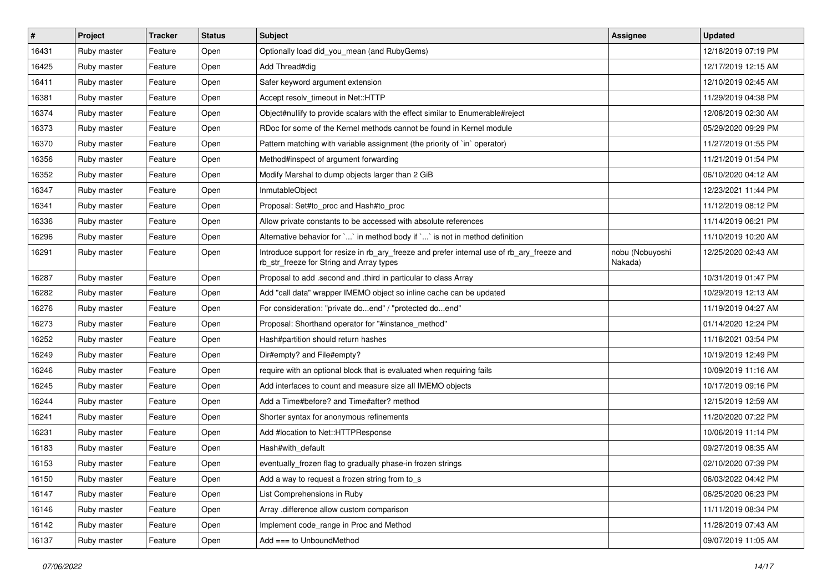| #     | Project     | <b>Tracker</b> | <b>Status</b> | <b>Subject</b>                                                                                                                         | Assignee                   | <b>Updated</b>      |
|-------|-------------|----------------|---------------|----------------------------------------------------------------------------------------------------------------------------------------|----------------------------|---------------------|
| 16431 | Ruby master | Feature        | Open          | Optionally load did_you_mean (and RubyGems)                                                                                            |                            | 12/18/2019 07:19 PM |
| 16425 | Ruby master | Feature        | Open          | Add Thread#dig                                                                                                                         |                            | 12/17/2019 12:15 AM |
| 16411 | Ruby master | Feature        | Open          | Safer keyword argument extension                                                                                                       |                            | 12/10/2019 02:45 AM |
| 16381 | Ruby master | Feature        | Open          | Accept resolv timeout in Net::HTTP                                                                                                     |                            | 11/29/2019 04:38 PM |
| 16374 | Ruby master | Feature        | Open          | Object#nullify to provide scalars with the effect similar to Enumerable#reject                                                         |                            | 12/08/2019 02:30 AM |
| 16373 | Ruby master | Feature        | Open          | RDoc for some of the Kernel methods cannot be found in Kernel module                                                                   |                            | 05/29/2020 09:29 PM |
| 16370 | Ruby master | Feature        | Open          | Pattern matching with variable assignment (the priority of `in` operator)                                                              |                            | 11/27/2019 01:55 PM |
| 16356 | Ruby master | Feature        | Open          | Method#inspect of argument forwarding                                                                                                  |                            | 11/21/2019 01:54 PM |
| 16352 | Ruby master | Feature        | Open          | Modify Marshal to dump objects larger than 2 GiB                                                                                       |                            | 06/10/2020 04:12 AM |
| 16347 | Ruby master | Feature        | Open          | InmutableObject                                                                                                                        |                            | 12/23/2021 11:44 PM |
| 16341 | Ruby master | Feature        | Open          | Proposal: Set#to proc and Hash#to proc                                                                                                 |                            | 11/12/2019 08:12 PM |
| 16336 | Ruby master | Feature        | Open          | Allow private constants to be accessed with absolute references                                                                        |                            | 11/14/2019 06:21 PM |
| 16296 | Ruby master | Feature        | Open          | Alternative behavior for `` in method body if `` is not in method definition                                                           |                            | 11/10/2019 10:20 AM |
| 16291 | Ruby master | Feature        | Open          | Introduce support for resize in rb_ary_freeze and prefer internal use of rb_ary_freeze and<br>rb_str_freeze for String and Array types | nobu (Nobuyoshi<br>Nakada) | 12/25/2020 02:43 AM |
| 16287 | Ruby master | Feature        | Open          | Proposal to add .second and .third in particular to class Array                                                                        |                            | 10/31/2019 01:47 PM |
| 16282 | Ruby master | Feature        | Open          | Add "call data" wrapper IMEMO object so inline cache can be updated                                                                    |                            | 10/29/2019 12:13 AM |
| 16276 | Ruby master | Feature        | Open          | For consideration: "private doend" / "protected doend"                                                                                 |                            | 11/19/2019 04:27 AM |
| 16273 | Ruby master | Feature        | Open          | Proposal: Shorthand operator for "#instance method"                                                                                    |                            | 01/14/2020 12:24 PM |
| 16252 | Ruby master | Feature        | Open          | Hash#partition should return hashes                                                                                                    |                            | 11/18/2021 03:54 PM |
| 16249 | Ruby master | Feature        | Open          | Dir#empty? and File#empty?                                                                                                             |                            | 10/19/2019 12:49 PM |
| 16246 | Ruby master | Feature        | Open          | require with an optional block that is evaluated when requiring fails                                                                  |                            | 10/09/2019 11:16 AM |
| 16245 | Ruby master | Feature        | Open          | Add interfaces to count and measure size all IMEMO objects                                                                             |                            | 10/17/2019 09:16 PM |
| 16244 | Ruby master | Feature        | Open          | Add a Time#before? and Time#after? method                                                                                              |                            | 12/15/2019 12:59 AM |
| 16241 | Ruby master | Feature        | Open          | Shorter syntax for anonymous refinements                                                                                               |                            | 11/20/2020 07:22 PM |
| 16231 | Ruby master | Feature        | Open          | Add #location to Net::HTTPResponse                                                                                                     |                            | 10/06/2019 11:14 PM |
| 16183 | Ruby master | Feature        | Open          | Hash#with default                                                                                                                      |                            | 09/27/2019 08:35 AM |
| 16153 | Ruby master | Feature        | Open          | eventually_frozen flag to gradually phase-in frozen strings                                                                            |                            | 02/10/2020 07:39 PM |
| 16150 | Ruby master | Feature        | Open          | Add a way to request a frozen string from to_s                                                                                         |                            | 06/03/2022 04:42 PM |
| 16147 | Ruby master | Feature        | Open          | List Comprehensions in Ruby                                                                                                            |                            | 06/25/2020 06:23 PM |
| 16146 | Ruby master | Feature        | Open          | Array .difference allow custom comparison                                                                                              |                            | 11/11/2019 08:34 PM |
| 16142 | Ruby master | Feature        | Open          | Implement code_range in Proc and Method                                                                                                |                            | 11/28/2019 07:43 AM |
| 16137 | Ruby master | Feature        | Open          | Add === to UnboundMethod                                                                                                               |                            | 09/07/2019 11:05 AM |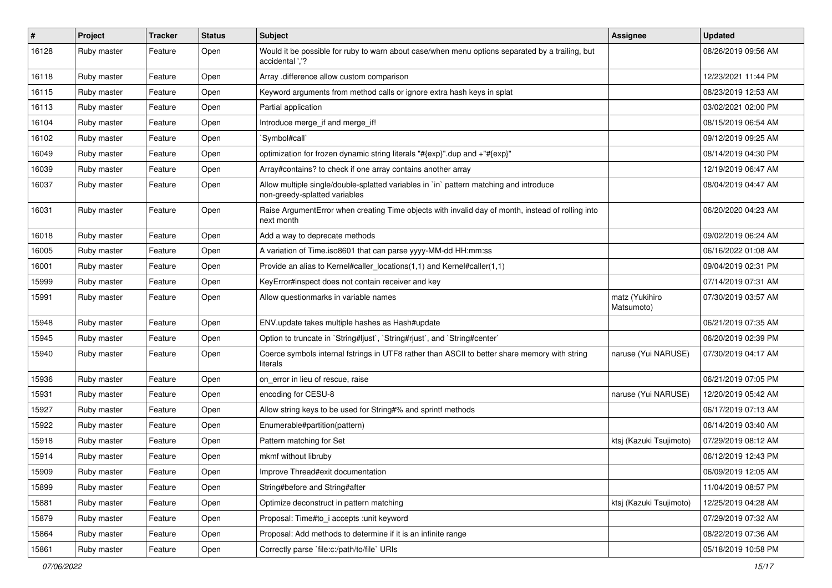| #     | Project     | <b>Tracker</b> | <b>Status</b> | <b>Subject</b>                                                                                                          | <b>Assignee</b>              | <b>Updated</b>      |
|-------|-------------|----------------|---------------|-------------------------------------------------------------------------------------------------------------------------|------------------------------|---------------------|
| 16128 | Ruby master | Feature        | Open          | Would it be possible for ruby to warn about case/when menu options separated by a trailing, but<br>accidental ','?      |                              | 08/26/2019 09:56 AM |
| 16118 | Ruby master | Feature        | Open          | Array .difference allow custom comparison                                                                               |                              | 12/23/2021 11:44 PM |
| 16115 | Ruby master | Feature        | Open          | Keyword arguments from method calls or ignore extra hash keys in splat                                                  |                              | 08/23/2019 12:53 AM |
| 16113 | Ruby master | Feature        | Open          | Partial application                                                                                                     |                              | 03/02/2021 02:00 PM |
| 16104 | Ruby master | Feature        | Open          | Introduce merge_if and merge_if!                                                                                        |                              | 08/15/2019 06:54 AM |
| 16102 | Ruby master | Feature        | Open          | `Symbol#call`                                                                                                           |                              | 09/12/2019 09:25 AM |
| 16049 | Ruby master | Feature        | Open          | optimization for frozen dynamic string literals "#{exp}".dup and +"#{exp}"                                              |                              | 08/14/2019 04:30 PM |
| 16039 | Ruby master | Feature        | Open          | Array#contains? to check if one array contains another array                                                            |                              | 12/19/2019 06:47 AM |
| 16037 | Ruby master | Feature        | Open          | Allow multiple single/double-splatted variables in `in` pattern matching and introduce<br>non-greedy-splatted variables |                              | 08/04/2019 04:47 AM |
| 16031 | Ruby master | Feature        | Open          | Raise ArgumentError when creating Time objects with invalid day of month, instead of rolling into<br>next month         |                              | 06/20/2020 04:23 AM |
| 16018 | Ruby master | Feature        | Open          | Add a way to deprecate methods                                                                                          |                              | 09/02/2019 06:24 AM |
| 16005 | Ruby master | Feature        | Open          | A variation of Time.iso8601 that can parse yyyy-MM-dd HH:mm:ss                                                          |                              | 06/16/2022 01:08 AM |
| 16001 | Ruby master | Feature        | Open          | Provide an alias to Kernel#caller_locations(1,1) and Kernel#caller(1,1)                                                 |                              | 09/04/2019 02:31 PM |
| 15999 | Ruby master | Feature        | Open          | KeyError#inspect does not contain receiver and key                                                                      |                              | 07/14/2019 07:31 AM |
| 15991 | Ruby master | Feature        | Open          | Allow questionmarks in variable names                                                                                   | matz (Yukihiro<br>Matsumoto) | 07/30/2019 03:57 AM |
| 15948 | Ruby master | Feature        | Open          | ENV.update takes multiple hashes as Hash#update                                                                         |                              | 06/21/2019 07:35 AM |
| 15945 | Ruby master | Feature        | Open          | Option to truncate in `String#ljust`, `String#rjust`, and `String#center`                                               |                              | 06/20/2019 02:39 PM |
| 15940 | Ruby master | Feature        | Open          | Coerce symbols internal fstrings in UTF8 rather than ASCII to better share memory with string<br>literals               | naruse (Yui NARUSE)          | 07/30/2019 04:17 AM |
| 15936 | Ruby master | Feature        | Open          | on error in lieu of rescue, raise                                                                                       |                              | 06/21/2019 07:05 PM |
| 15931 | Ruby master | Feature        | Open          | encoding for CESU-8                                                                                                     | naruse (Yui NARUSE)          | 12/20/2019 05:42 AM |
| 15927 | Ruby master | Feature        | Open          | Allow string keys to be used for String#% and sprintf methods                                                           |                              | 06/17/2019 07:13 AM |
| 15922 | Ruby master | Feature        | Open          | Enumerable#partition(pattern)                                                                                           |                              | 06/14/2019 03:40 AM |
| 15918 | Ruby master | Feature        | Open          | Pattern matching for Set                                                                                                | ktsj (Kazuki Tsujimoto)      | 07/29/2019 08:12 AM |
| 15914 | Ruby master | Feature        | Open          | mkmf without libruby                                                                                                    |                              | 06/12/2019 12:43 PM |
| 15909 | Ruby master | Feature        | Open          | Improve Thread#exit documentation                                                                                       |                              | 06/09/2019 12:05 AM |
| 15899 | Ruby master | Feature        | Open          | String#before and String#after                                                                                          |                              | 11/04/2019 08:57 PM |
| 15881 | Ruby master | Feature        | Open          | Optimize deconstruct in pattern matching                                                                                | ktsj (Kazuki Tsujimoto)      | 12/25/2019 04:28 AM |
| 15879 | Ruby master | Feature        | Open          | Proposal: Time#to_i accepts :unit keyword                                                                               |                              | 07/29/2019 07:32 AM |
| 15864 | Ruby master | Feature        | Open          | Proposal: Add methods to determine if it is an infinite range                                                           |                              | 08/22/2019 07:36 AM |
| 15861 | Ruby master | Feature        | Open          | Correctly parse `file:c:/path/to/file` URIs                                                                             |                              | 05/18/2019 10:58 PM |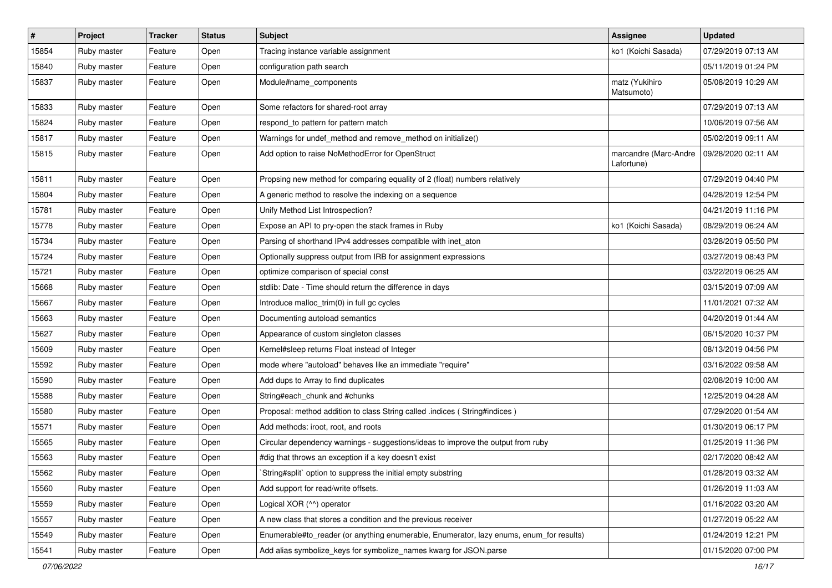| $\sharp$ | Project     | <b>Tracker</b> | <b>Status</b> | Subject                                                                                 | Assignee                            | <b>Updated</b>      |
|----------|-------------|----------------|---------------|-----------------------------------------------------------------------------------------|-------------------------------------|---------------------|
| 15854    | Ruby master | Feature        | Open          | Tracing instance variable assignment                                                    | ko1 (Koichi Sasada)                 | 07/29/2019 07:13 AM |
| 15840    | Ruby master | Feature        | Open          | configuration path search                                                               |                                     | 05/11/2019 01:24 PM |
| 15837    | Ruby master | Feature        | Open          | Module#name_components                                                                  | matz (Yukihiro<br>Matsumoto)        | 05/08/2019 10:29 AM |
| 15833    | Ruby master | Feature        | Open          | Some refactors for shared-root array                                                    |                                     | 07/29/2019 07:13 AM |
| 15824    | Ruby master | Feature        | Open          | respond to pattern for pattern match                                                    |                                     | 10/06/2019 07:56 AM |
| 15817    | Ruby master | Feature        | Open          | Warnings for undef_method and remove_method on initialize()                             |                                     | 05/02/2019 09:11 AM |
| 15815    | Ruby master | Feature        | Open          | Add option to raise NoMethodError for OpenStruct                                        | marcandre (Marc-Andre<br>Lafortune) | 09/28/2020 02:11 AM |
| 15811    | Ruby master | Feature        | Open          | Propsing new method for comparing equality of 2 (float) numbers relatively              |                                     | 07/29/2019 04:40 PM |
| 15804    | Ruby master | Feature        | Open          | A generic method to resolve the indexing on a sequence                                  |                                     | 04/28/2019 12:54 PM |
| 15781    | Ruby master | Feature        | Open          | Unify Method List Introspection?                                                        |                                     | 04/21/2019 11:16 PM |
| 15778    | Ruby master | Feature        | Open          | Expose an API to pry-open the stack frames in Ruby                                      | ko1 (Koichi Sasada)                 | 08/29/2019 06:24 AM |
| 15734    | Ruby master | Feature        | Open          | Parsing of shorthand IPv4 addresses compatible with inet_aton                           |                                     | 03/28/2019 05:50 PM |
| 15724    | Ruby master | Feature        | Open          | Optionally suppress output from IRB for assignment expressions                          |                                     | 03/27/2019 08:43 PM |
| 15721    | Ruby master | Feature        | Open          | optimize comparison of special const                                                    |                                     | 03/22/2019 06:25 AM |
| 15668    | Ruby master | Feature        | Open          | stdlib: Date - Time should return the difference in days                                |                                     | 03/15/2019 07:09 AM |
| 15667    | Ruby master | Feature        | Open          | Introduce malloc_trim(0) in full gc cycles                                              |                                     | 11/01/2021 07:32 AM |
| 15663    | Ruby master | Feature        | Open          | Documenting autoload semantics                                                          |                                     | 04/20/2019 01:44 AM |
| 15627    | Ruby master | Feature        | Open          | Appearance of custom singleton classes                                                  |                                     | 06/15/2020 10:37 PM |
| 15609    | Ruby master | Feature        | Open          | Kernel#sleep returns Float instead of Integer                                           |                                     | 08/13/2019 04:56 PM |
| 15592    | Ruby master | Feature        | Open          | mode where "autoload" behaves like an immediate "require"                               |                                     | 03/16/2022 09:58 AM |
| 15590    | Ruby master | Feature        | Open          | Add dups to Array to find duplicates                                                    |                                     | 02/08/2019 10:00 AM |
| 15588    | Ruby master | Feature        | Open          | String#each chunk and #chunks                                                           |                                     | 12/25/2019 04:28 AM |
| 15580    | Ruby master | Feature        | Open          | Proposal: method addition to class String called .indices (String#indices)              |                                     | 07/29/2020 01:54 AM |
| 15571    | Ruby master | Feature        | Open          | Add methods: iroot, root, and roots                                                     |                                     | 01/30/2019 06:17 PM |
| 15565    | Ruby master | Feature        | Open          | Circular dependency warnings - suggestions/ideas to improve the output from ruby        |                                     | 01/25/2019 11:36 PM |
| 15563    | Ruby master | Feature        | Open          | #dig that throws an exception if a key doesn't exist                                    |                                     | 02/17/2020 08:42 AM |
| 15562    | Ruby master | Feature        | Open          | String#split` option to suppress the initial empty substring                            |                                     | 01/28/2019 03:32 AM |
| 15560    | Ruby master | Feature        | Open          | Add support for read/write offsets.                                                     |                                     | 01/26/2019 11:03 AM |
| 15559    | Ruby master | Feature        | Open          | Logical XOR (^^) operator                                                               |                                     | 01/16/2022 03:20 AM |
| 15557    | Ruby master | Feature        | Open          | A new class that stores a condition and the previous receiver                           |                                     | 01/27/2019 05:22 AM |
| 15549    | Ruby master | Feature        | Open          | Enumerable#to_reader (or anything enumerable, Enumerator, lazy enums, enum_for results) |                                     | 01/24/2019 12:21 PM |
| 15541    | Ruby master | Feature        | Open          | Add alias symbolize_keys for symbolize_names kwarg for JSON.parse                       |                                     | 01/15/2020 07:00 PM |